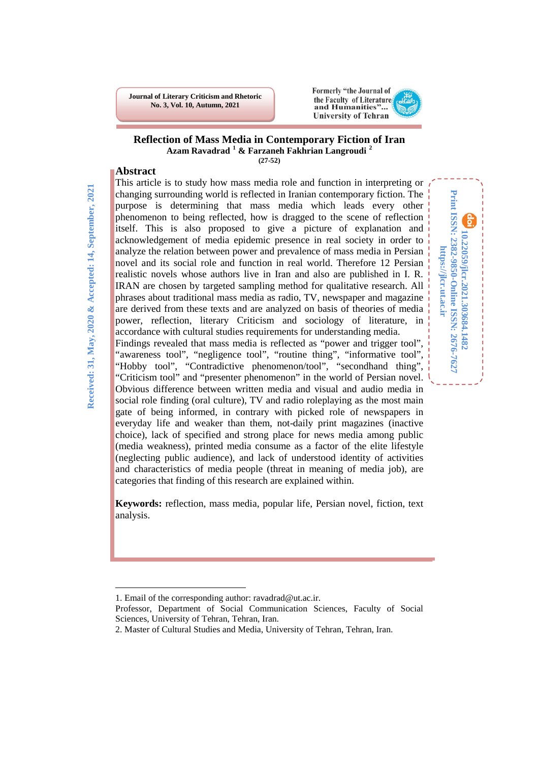**Journal of Literary Criticism and Rhetoric No. 3, Vol. 10, Autumn, 2021**



**10.22059/jlcr.2021.303684.1482 Print ISSN: 2382-9850-Online ISSN: 2676-7627 https://jlcr.ut.ac.ir**

Print ISSN: 2382-9850-Online ISSN: 2676-7627 10.22059/jlcr.2021.303684.1482

https://jlcr.ut.ac.ir

#### **Reflection of Mass Media in Contemporary Fiction of Iran Azam Ravadrad [1](#page-0-0) & Farzaneh Fakhrian Langroudi [2](#page-0-1) (27-52)**

### **Abstract**

This article is to study how mass media role and function in interpreting or changing surrounding world is reflected in Iranian contemporary fiction. The purpose is determining that mass media which leads every other phenomenon to being reflected, how is dragged to the scene of reflection itself. This is also proposed to give a picture of explanation and acknowledgement of media epidemic presence in real society in order to analyze the relation between power and prevalence of mass media in Persian novel and its social role and function in real world. Therefore 12 Persian realistic novels whose authors live in Iran and also are published in I. R. IRAN are chosen by targeted sampling method for qualitative research. All phrases about traditional mass media as radio, TV, newspaper and magazine are derived from these texts and are analyzed on basis of theories of media power, reflection, literary Criticism and sociology of literature, in accordance with cultural studies requirements for understanding media. Findings revealed that mass media is reflected as "power and trigger tool", "awareness tool", "negligence tool", "routine thing", "informative tool", "Hobby tool", "Contradictive phenomenon/tool", "secondhand thing", "Criticism tool" and "presenter phenomenon" in the world of Persian novel. Obvious difference between written media and visual and audio media in social role finding (oral culture), TV and radio roleplaying as the most main gate of being informed, in contrary with picked role of newspapers in everyday life and weaker than them, not-daily print magazines (inactive choice), lack of specified and strong place for news media among public (media weakness), printed media consume as a factor of the elite lifestyle (neglecting public audience), and lack of understood identity of activities

**Keywords:** reflection, mass media, popular life, Persian novel, fiction, text analysis.

and characteristics of media people (threat in meaning of media job), are

categories that finding of this research are explained within.

1

<span id="page-0-0"></span><sup>1.</sup> Email of the corresponding author: ravadrad@ut.ac.ir.

Professor, Department of Social Communication Sciences, Faculty of Social Sciences, University of Tehran, Tehran, Iran.

<span id="page-0-1"></span><sup>2.</sup> Master of Cultural Studies and Media, University of Tehran, Tehran, Iran.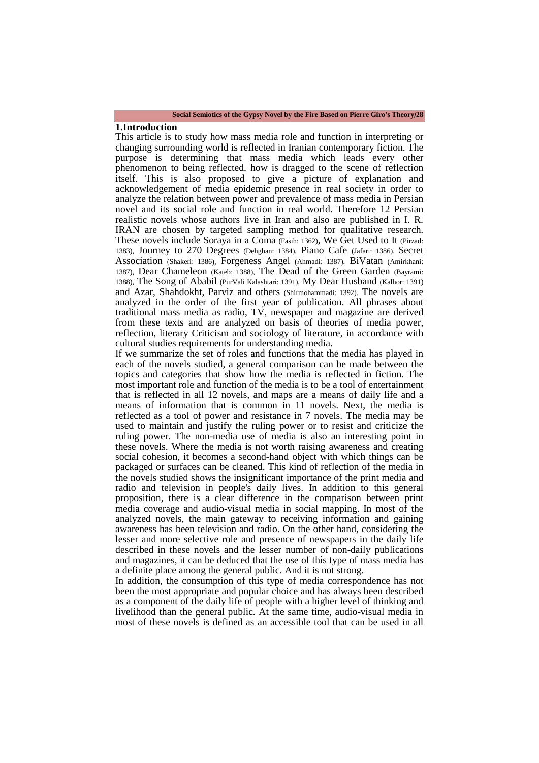#### **Social Semiotics of the Gypsy Novel by the Fire Based on Pierre Giro's Theory**/**28**

#### **1.Introduction**

This article is to study how mass media role and function in interpreting or changing surrounding world is reflected in Iranian contemporary fiction. The purpose is determining that mass media which leads every other phenomenon to being reflected, how is dragged to the scene of reflection itself. This is also proposed to give a picture of explanation and acknowledgement of media epidemic presence in real society in order to analyze the relation between power and prevalence of mass media in Persian novel and its social role and function in real world. Therefore 12 Persian realistic novels whose authors live in Iran and also are published in I. R. IRAN are chosen by targeted sampling method for qualitative research. These novels include Soraya in a Coma (Fasih: 1362), We Get Used to It (Pirzad: 1383), Journey to 270 Degrees (Dehghan: 1384), Piano Cafe (Jafari: 1386), Secret Association (Shakeri: 1386), Forgeness Angel (Ahmadi: 1387), BiVatan (Amirkhani: 1387), Dear Chameleon (Kateb: 1388), The Dead of the Green Garden (Bayrami: 1388), The Song of Ababil (PurVali Kalashtari: 1391), My Dear Husband (Kalhor: 1391) and Azar, Shahdokht, Parviz and others (Shirmohammadi: 1392). The novels are analyzed in the order of the first year of publication. All phrases about traditional mass media as radio, TV, newspaper and magazine are derived from these texts and are analyzed on basis of theories of media power, reflection, literary Criticism and sociology of literature, in accordance with cultural studies requirements for understanding media.

If we summarize the set of roles and functions that the media has played in each of the novels studied, a general comparison can be made between the topics and categories that show how the media is reflected in fiction. The most important role and function of the media is to be a tool of entertainment that is reflected in all 12 novels, and maps are a means of daily life and a means of information that is common in 11 novels. Next, the media is reflected as a tool of power and resistance in 7 novels. The media may be used to maintain and justify the ruling power or to resist and criticize the ruling power. The non-media use of media is also an interesting point in these novels. Where the media is not worth raising awareness and creating social cohesion, it becomes a second-hand object with which things can be packaged or surfaces can be cleaned. This kind of reflection of the media in the novels studied shows the insignificant importance of the print media and radio and television in people's daily lives. In addition to this general proposition, there is a clear difference in the comparison between print media coverage and audio-visual media in social mapping. In most of the analyzed novels, the main gateway to receiving information and gaining awareness has been television and radio. On the other hand, considering the lesser and more selective role and presence of newspapers in the daily life described in these novels and the lesser number of non-daily publications and magazines, it can be deduced that the use of this type of mass media has a definite place among the general public. And it is not strong.

In addition, the consumption of this type of media correspondence has not been the most appropriate and popular choice and has always been described as a component of the daily life of people with a higher level of thinking and livelihood than the general public. At the same time, audio-visual media in most of these novels is defined as an accessible tool that can be used in all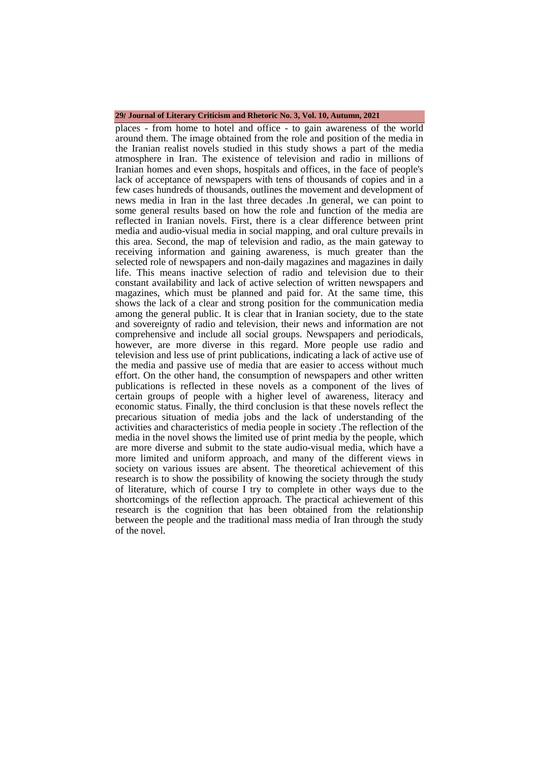#### **29**/ **Journal of Literary Criticism and Rhetoric No. 3, Vol. 10, Autumn, 2021**

places - from home to hotel and office - to gain awareness of the world around them. The image obtained from the role and position of the media in the Iranian realist novels studied in this study shows a part of the media atmosphere in Iran. The existence of television and radio in millions of Iranian homes and even shops, hospitals and offices, in the face of people's lack of acceptance of newspapers with tens of thousands of copies and in a few cases hundreds of thousands, outlines the movement and development of news media in Iran in the last three decades .In general, we can point to some general results based on how the role and function of the media are reflected in Iranian novels. First, there is a clear difference between print media and audio-visual media in social mapping, and oral culture prevails in this area. Second, the map of television and radio, as the main gateway to receiving information and gaining awareness, is much greater than the selected role of newspapers and non-daily magazines and magazines in daily life. This means inactive selection of radio and television due to their constant availability and lack of active selection of written newspapers and magazines, which must be planned and paid for. At the same time, this shows the lack of a clear and strong position for the communication media among the general public. It is clear that in Iranian society, due to the state and sovereignty of radio and television, their news and information are not comprehensive and include all social groups. Newspapers and periodicals, however, are more diverse in this regard. More people use radio and television and less use of print publications, indicating a lack of active use of the media and passive use of media that are easier to access without much effort. On the other hand, the consumption of newspapers and other written publications is reflected in these novels as a component of the lives of certain groups of people with a higher level of awareness, literacy and economic status. Finally, the third conclusion is that these novels reflect the precarious situation of media jobs and the lack of understanding of the activities and characteristics of media people in society .The reflection of the media in the novel shows the limited use of print media by the people, which are more diverse and submit to the state audio-visual media, which have a more limited and uniform approach, and many of the different views in society on various issues are absent. The theoretical achievement of this research is to show the possibility of knowing the society through the study of literature, which of course I try to complete in other ways due to the shortcomings of the reflection approach. The practical achievement of this research is the cognition that has been obtained from the relationship between the people and the traditional mass media of Iran through the study of the novel.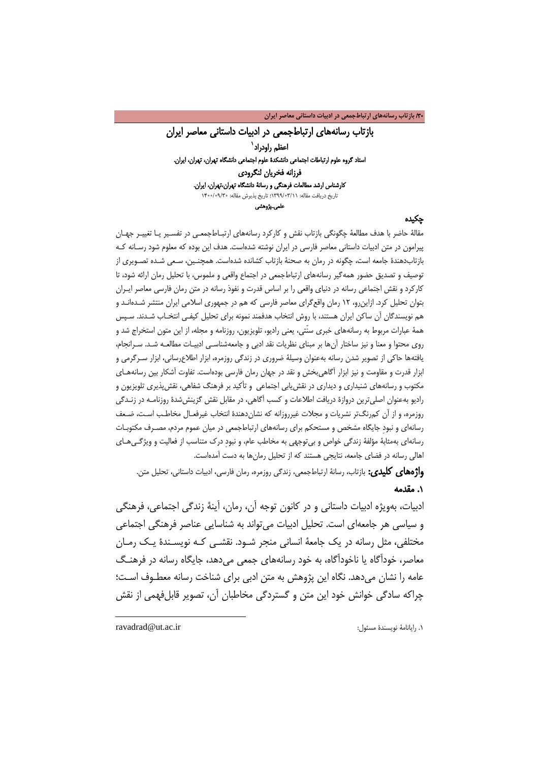/30 **بازتاب رسانههاي ارتباطجمعی در ادبیات داستانی معاصر ایران**

بازتاب رسانههای ارتباطجمعی در ادبیات داستانی معاصر ایران اعظم راودراد<sup>\</sup> استاد گروه علوم ارتباطات اجتماعی دانشکدۀ علوم اجتماعی دانشگاه تهران، تهران، ایران. فرزانه فخریان لنگرودی کارشناس ارشد مطالعات فرهنگی و رسان[ۀ](#page-3-0) دانشگاه تهران،تهران، ایران. تاریخ دریافت مقاله: 1399/03/11؛ تاریخ پذیرش مقاله: 1400/09/30 علمی ـپژوهشی

#### چکیده

مقالۀ حاضر با هدف مطالعۀ چگونگی بازتاب نقش و کارکرد رسانههای ارتبـاط جمعـی در تفسـیر یـا تغییـر جهـان پیرامون در متن ادبیات داستانی معاصر فارسی در ایران نوشته شدهاست. هدف این بوده که معلوم شود رسـانه کـه بازتابدهندۀ جامعه است، چگونه در رمان به صحنۀ بازتاب کشانده شدهاست. همچنـین ، سـعی شـده تصـویری از توصیف و تصدیق حضور همهگیر رسانههای ارتباطجمعی در اجتماع واقعی و ملموس، با تحلیل رمان ارائه شود، تا کارکرد و نقش اجتماعی رسانه در دنیای واقعی را بر اساس قدرت و نفوذ رسانه در متن رمان فارسی معاصر ایـران بتوان تحلیل کرد. ازاینرو، 12 رمان واقعگرای معاصر فارسی که هم در جمهوری اسلامی ایران منتشر شـده انـد و هم نویسندگان آن ساکن ایران هستند، با روش انتخاب هدفمند نمونه برای تحلیل کیفـی انتخـاب شـدند. سـپس همۀ عبارات مربوط به رسانههای خبری سنّتی، یعنی رادیو، تلویزیون، روزنامه و مجله، از این متون استخراج شد و روی محتوا و معنا و نیز ساختار آنها بر مبنای نظریات نقد ادبی و جامعهشناسـی ادبیـات مطالعـه شـد . سـرانجام، یافتهها حاکی از تصویر شدن رسانه بهعنوان وسیلۀ ضروری در زندگی روزمره، ابزار اطلاعرسانی، ابزار سـرگرم ی و ابزار قدرت و مقاومت و نیز ابزار آگاهیبخش و نقد در جهان رمان فارسی بودهاست. تفاوت آشکار بین رسانههـای مکتوب و رسانههای شنیداری و دیداری در نقشیابی اجتماعی و تأکید بر فرهنگ شفاهی، نقشپذیری تلویزیون و رادیو بهعنوان اصلیترین دروازۀ دریافت اطلاعات و کسب آگاهی، در مقابل نقش گزینششدۀ روزنامـه در زنـدگی روزمره، و از آن کمرنگتر نشریات و مجلات غیرروزانه که نشاندهندۀ انتخاب غیرفعـال مخاطـب اسـت، ضـعف رسانهای و نبودِ جایگاه مشخص و مستحکم برای رسانههای ارتباطجمعی در میان عموم مردم، مصـرف مکتوبـات رسانهای بهمثابۀ مؤلفۀ زندگی خواص و بیتوجهی به مخاطب عام، و نبودِ درک متناسب از فعالیت و ویژگـی هـای اهالی رسانه در فضای جامعه، نتایجی هستند که از تحلیل رمانها به دست آمدهاست.

**واژههای کلیدی:** بازتاب، رسانۀ ارتباطجمعی، زندگی روزمره، رمان فارسی، ادبیات داستانی، تحلیل متن.

### .1 مقدمه

ادبیات، بهویژه ادبیات داستانی و در کانون توجه آن، رمان، آینۀ زندگی اجتماعی، فرهنگی و سیاسی هر جامعهای است. تحلیل ادبیات میتواند به شناسایی عناصر فرهنگی اجتماعی مختلفی، مثل رسانه در یک جامعۀ انسانی منجر شـود . نقشـی کـه نویسـند ۀ یـک رمـان معاصر، خودآگاه یا ناخودآگاه، به خود رسانههای جمعی میدهد، جایگاه رسانه در فرهنـگ عامه را نشان میدهد. نگاه این پژوهش به متن ادبی برای شناخت رسانه معطـوف اسـت؛ چراکه سادگی خوانش خود این متن و گستردگی مخاطبان آن، تصویر قابلفهمی از نقش

<span id="page-3-0"></span>ravadrad@ut.ac.ir :مسئول نویسندة رایانامۀ .1

**.**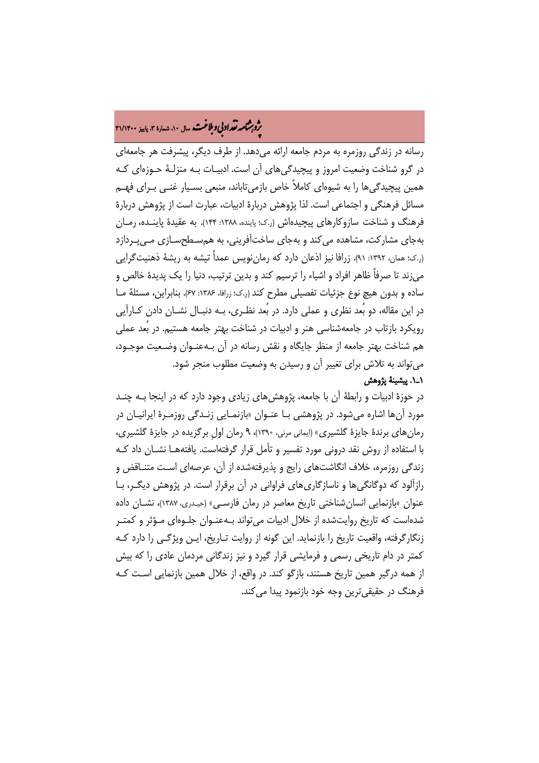# ه م**شامه تقداد بی و بلاغت** سال ۱۰، شماره ۳، پاییز ۳۱/۱۴۰۰<br>په

رسانه در زندگی روزمره به مردم جامعه ارائه میدهد. از طرف دیگر، پیشرفت هر جامعهای در گرو شناخت وضعیت امروز و پیچیدگیهای آن است. ادبیـات بـه منزلـ ۀ حـوزه ای کـه همین پیچیدگیها را به شیوهای کاملاً خاص بازمیتاباند، منبعی بسـیار غنـی بـرای فهـم مسائل فرهنگی و اجتماعی است. لذا پژوهش دربارۀ ادبیات، عبارت است از پژوهش دربارۀ فرهنگ و شناخت سازوکارهای پیچیدهاش (ر.ک؛ پاینده، ۱۳۸۸: ۱۴۴). به عقیدۀ پاینــده، رمــان بهجای مشارکت، مشاهده میکند و بهجای ساختآفرینی، به همسـطح سـاز ی مـی پـردازد (ر.ک؛ همان، :1392 91). زرافا نیز اذعان دارد که رماننویس عمداً تیشه به ریشۀ ذهنیتگرایی میزند تا صرفاً ظاهر افراد و اشیاء را ترسیم کند و بدین ترتیب، دنیا را یک پدیدۀ خالص و ساده و بدون هیچ نوع جزئیات تفصیلی مطرح کند(ر.ک؛ زرافا، :1386 67). بنابراین، مسئلۀ مـا در این مقاله، دو بُعد نظری و عملی دارد. در بُعد نظـر ی، بـه دنبـال نشـان دادن کـ ارآیی رویکرد بازتاب در جامعهشناسی هنر و ادبیات در شناخت بهتر جامعه هستیم. در بُعد عملی هم شناخت بهتر جامعه از منظر جایگاه و نقش رسانه در آن بـهعنـوان وضـعیت موجـود، میتواند به تلاش برای تغییر آن و رسیدن به وضعیت مطلوب منجر شود. 1ـ.1 پیشینۀ پژوهش

در حوزۀ ادبیات و رابطۀ آن با جامعه، پژوهشهای زیادی وجود دارد که در اینجا بـه چنـد مورد آنها اشاره میشود. در پژوهشی بـا عنـوان «بازنمـایی زنـدگی روزمـرۀ ایرانیــان در رمانهای برندۀ جایزۀ گلشیری» (ایمانی مرنی، 1390)، 9 رمان اولِ برگزیده در جایزۀ گلشیری، با استفاده از روش نقد درونی مورد تفسیر و تأمل قرار گرفتهاست. یافتههـا نشـان داد کـ ه زندگی روزمره، خلاف انگاشتهای رایج و پذیرفتهشده از آن، عرصهای اسـت متنـاقض و رازآلود که دوگانگیها و ناسازگاریهای فراوانی در آن برقرار است. در پژوهش دیگـر ، بـا عنوان «بازنمایی انسان شناختی تاریخ معاصر در رمان فارسـی» (حیـدری، ۱۳۸۷)، نشـان داده شدهاست که تاریخ روایتشده از خلال ادبیات میتواند بـه عنـوان جلـوه ای مـؤثر و کمتـر زنگارگرفته، واقعیت تاریخ را بازنماید. این گونه از روایت تـاریخ، ایـن ویژگـی را دارد کـه کمتر در دام تاریخی رسمی و فرمایشی قرار گیرد و نیز زندگانی مردمان عادی را که بیش از همه درگیر همین تاریخ هستند، بازگو کند. در واقع، از خلال همین بازنمایی اسـت کـ ه فرهنگ در حقیقیترین وجه خود بازنمود پیدا میکند.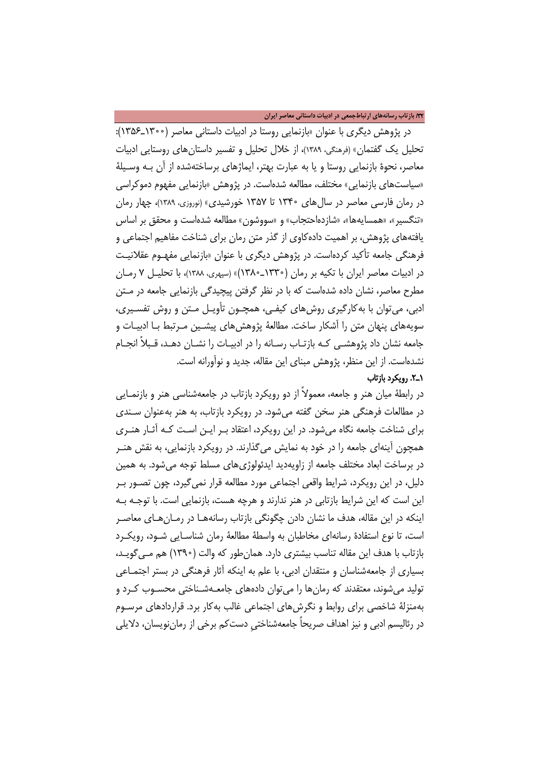### /32 **بازتاب رسانههاي ارتباطجمعی در ادبیات داستانی معاصر ایران**

در پژوهش دیگری با عنوان «بازنمایی روستا در ادبیات داستانی معاصر (1300ـ1356): تحلیل یک گفتمان» (فرهنگی، 1389)، از خلال تحلیل و تفسیر داستانهای روستایی ادبیات معاصر، نحوۀ بازنمایی روستا و یا به عبارت بهتر، ایماژهای برساختهشده از آن بـه وسـیلۀ «سیاستهای بازنمایی» مختلف، مطالعه شدهاست. در پژوهش «بازنمایی مفهوم دموکراسی در رمان فارسی معاصر در سالهای 1340 تا 1357 خورشیدی» (نوروزی، 1389)، چهار رمان «تنگسیر»، «همسایهها»، «شازدهاحتجاب» و «سووشون» مطالعه شدهاست و محقق بر اساس یافتههای پژوهش، بر اهمیت دادهکاوی از گذر متن رمان برای شناخت مفاهیم اجتماعی و فرهنگی جامعه تأکید کردهاست. در پژوهش دیگری با عنوان «بازنمایی مفهـوم عقلانیـت در ادبیات معاصر ایران با تکیه بر رمان (1330ـ1380)» (سپهری، 1388)، با تحلیـ ل 7 رمـان مطرح معاصر، نشان داده شدهاست که با در نظر گرفتن پیچیدگی بازنمایی جامعه در مـتن ادبی، میتوان با بهکارگیری روشهای کیفـی ، همچـون تأویـل مـتن و روش تفسـیری، سویههای پنهان متن را آشکار ساخت. مطالعۀ پژوهشهای پیشـین مـرتبط بـا ادبیـات و جامعه نشان داد پژوهشـی کـه بازتـاب رسـانه را در ادبیـات را نشـان دهـد، قـبلاً انجـام نشدهاست. از این منظر، پژوهش مبنای این مقاله، جدید و نوآورانه است.

### 1ـ.2 رویکرد بازتاب

در رابطۀ میان هنر و جامعه، معمولاً از دو رویکرد بازتاب در جامعهشناسی هنر و بازنمـا یی در مطالعات فرهنگی هنر سخن گفته میشود. در رویکرد بازتاب، به هنر بهعنوان سـند ی برای شناخت جامعه نگاه میشود. در این رویکرد، اعتقاد بـر ایـن اسـت کـه آثـار هنـری همچون آینهای جامعه را در خود به نمایش میگذارند. در رویکرد بازنمایی، به نقش هنـر در برساخت ابعاد مختلف جامعه از زاویهدید ایدئولوژیهای مسلط توجه میشود. به همین دلیل، در این رویکرد، شرایط واقعی اجتماعی مورد مطالعه قرار نمیگیرد، چون تصـور بـر این است که این شرایط بازتابی در هنر ندارند و هرچه هست، بازنمایی است. با توجـه بـه اینکه در این مقاله، هدف ما نشان دادن چگونگی بازتاب رسانههـا در رمـان هـا ی معاصـر است، تا نوع استفادۀ رسانهای مخاطبان به واسطۀ مطالعۀ رمان شناسـا یی شـود، رویکـ رد بازتاب با هدف این مقاله تناسب بیشتری دارد. همانطور که والت (1390) هم مـی گویـد ، بسیاری از جامعهشناسان و منتقدان ادبی، با علم به اینکه آثار فرهنگی در بستر اجتمـاعی تولید میشوند، معتقدند که رمانها را میتوان دادههای جامعـه شـناختی محسـوب کـرد و بهمنزلۀ شاخصی برای روابط و نگرشهای اجتماعی غالب بهکار برد. قراردادهای مرسـوم در رئالیسم ادبی و نیز اهداف صریحاً جامعهشناختیِ دستکم برخی از رماننویسان، دلایلی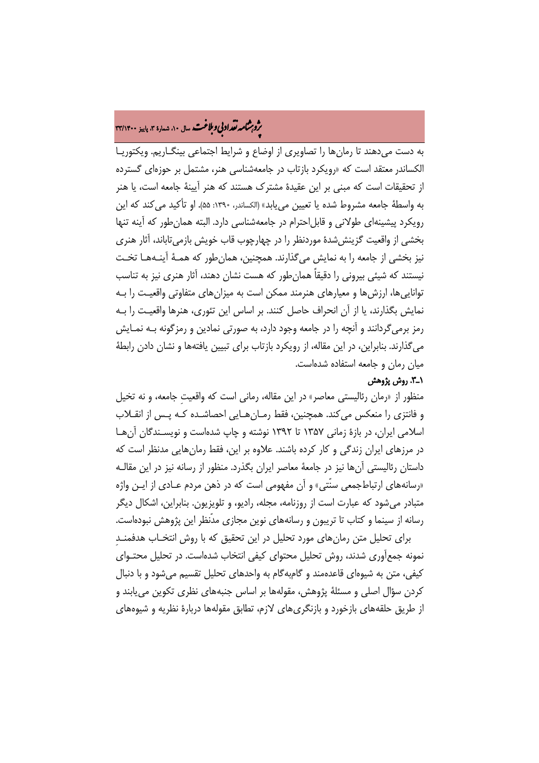# ه مشامه تقداد بی و ملاغت سال ۱۰، شماره ۳، پاییز ۳۳/۱۴۰۰<br>په

به دست میدهند تا رمانها را تصاویری از اوضاع و شرایط اجتماعی بینگـاریم. ویکتوریـ ا الکساندر معتقد است که «رویکرد بازتاب در جامعهشناسی هنر، مشتمل بر حوزهای گسترده از تحقیقات است که مبنی بر این عقیدۀ مشترک هستند که هنر آیینۀ جامعه است، یا هنر به واسطۀ جامعه مشروط شده یا تعیین مییابد» (الکساندر، :1390 55). او تأکید میکند که این رویکرد پیشینهای طولانی و قابلاحترام در جامعهشناسی دارد. البته همانطور که آینه تنها بخشی از واقعیت گزینششدۀ موردنظر را در چهارچوب قاب خویش بازمیتاباند، آثار هنری نیز بخشی از جامعه را به نمایش میگذارند. همچنین، همانطور که همـ ۀ آینـه هـا تخـت نیستند که شیئی بیرونی را دقیقاً همانطور که هست نشان دهند، آثار هنری نیز به تناسب تواناییها، ارزشها و معیارهای هنرمند ممکن است به میزانهای متفاوتی واقعیـت را بـه نمایش بگذارند، یا از آن انحراف حاصل کنند. بر اساس این تئوری، هنرها واقعیـت را بـه رمز برمیگردانند و آنچه را در جامعه وجود دارد، به صورتی نمادین و رمزگونه بـه نمـایش میگذارند. بنابراین، در این مقاله، از رویکرد بازتاب برای تبیین یافتهها و نشان دادن رابطۀ میان رمان و جامعه استفاده شدهاست.

### ۱ــ<sup>ـــ</sup>. روش پژوهش

منظور از «رمان رئالیستی معاصر» در این مقاله، رمانی است که واقعیتِ جامعه، و نه تخیل و فانتزی را منعکس میکند. همچنین، فقط رمـان هـایی احصاشـده کـه پـس از انقــلاب اسلامی ایران، در بازۀ زمانی 1357 تا 1392 نوشته و چاپ شدهاست و نویسـندگان آنهـا در مرزهای ایران زندگی و کار کرده باشند. علاوه بر این، فقط رمانهایی مدنظر است که داستان رئالیستی آنها نیز در جامعۀ معاصر ایران بگذرد. منظور از رسانه نیز در این مقالـه «رسانههای ارتباطجمعی سنّتی» و آن مفهومی است که در ذهن مردم عـادی از ایـن واژه متبادر میشود که عبارت است از روزنامه، مجله، رادیو، و تلویزیون. بنابراین، اشکال دیگر رسانه از سینما و کتاب تا تریبون و رسانههای نوین مجازی مدّنظر این پژوهش نبودهاست.

برای تحلیل متن رمانهای مورد تحلیل در این تحقیق که با روش انتخـاب هدفمنـدِ نمونه جمعآوری شدند، روش تحلیل محتوای کیفی انتخاب شدهاست. در تحلیل محتـوای کیفی، متن به شیوهای قاعدهمند و گامبهگام به واحدهای تحلیل تقسیم میشود و با دنبال کردن سؤال اصلی و مسئلۀ پژوهش، مقولهها بر اساس جنبههای نظری تکوین مییابند و از طریق حلقههای بازخورد و بازنگریهای لازم، تطابق مقولهها دربارۀ نظریه و شیوههای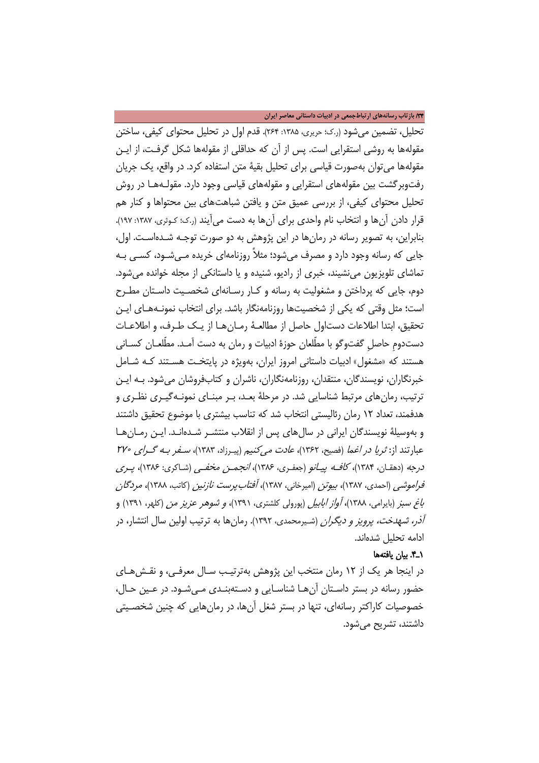/34 **بازتاب رسانههاي ارتباطجمعی در ادبیات داستانی معاصر ایران**

تحلیل، تضمین میشود (ر.ک؛ حریری، :1385 264). قدم اول در تحلیل محتوای کیفی، ساختن مقولهها به روشی استقرایی است. پس از آن که حداقلی از مقولهها شکل گرفـت، از ایـن مقولهها میتوان بهصورت قیاسی برای تحلیل بقیۀ متن استفاده کرد. در واقع، یک جریان رفتوبرگشت بین مقولههای استقرایی و مقولههای قیاسی وجود دارد. مقولـه هـا در روش تحلیل محتوای کیفی، از بررسی عمیق متن و یافتن شباهتهای بین محتواها و کنار هم قرار دادن آنها و انتخاب نام واحدی برای آنها به دست میآیند (ر.ک؛ کـوثری، ۱۳۸۷: ۱۹۷). بنابراین، به تصویر رسانه در رمانها در این پژوهش به دو صورت توجـه شـده اسـت . اول، جایی که رسانه وجود دارد و مصرف میشود؛ مثلاً روزنامهای خریده مـی شـود، کسـی بـه تماشای تلویزیون مینشیند، خبری از رادیو، شنیده و یا داستانکی از مجله خوانده میشود. دوم، جایی که پرداختن و مشغولیت به رسانه و کـار رسـانه ای شخصـیت داسـتان مطـرح است؛ مثل وقتی که یکی از شخصیتها روزنامهنگار باشد. برای انتخاب نمونـه هـای ایـن تحقیق، ابتدا اطلاعات دستاول حاصل از مطالعـهٔ رمـان هـا از یـک طـرف، و اطلاعـات دستدومِ حاصلِ گفتوگو با مطّلعان حوزۀ ادبیات و رمان به دست آمـد. مطّ لعـان کسـانی هستند که «مشغول» ادبیات داستانی امروز ایران، بهویژه در پایتخـت هسـتند کـ ه شـامل خبرنگاران، نویسندگان، منتقدان، روزنامهنگاران، ناشران و کتابفروشان میشود. بـه ایـن ترتیب، رمانهای مرتبط شناسایی شد. در مرحلۀ بعـد، بـر مبنـای نمونـه گیـری نظـری و هدفمند، تعداد 12 رمان رئالیستی انتخاب شد که تناسب بیشتری با موضوع تحقیق داشتند و بهوسیلۀ نویسندگان ایرانی در سالهای پس از انقلاب منتشـر شـد هانـد . ایـ ن رمـان هـا عبارتند از: *ثریا در اغما* (فصیح، ۱۳۶۲)، *عادت می کنیم* (پیـرزاد، ۱۳۸۳)، *سـفر بـه گـرای ۲۷۰* درجه (دهقـان، ۱۳۸۴)، *کافـه پيـانو* (جعفـري، ۱۳۸۶)، *انجمـن مخفـي (ش*ـاکري: ۱۳۸۶)، پـر*ي* فراموشی (احمدی، 1387)، بیوتن (امیرخانی، 1387)، آفتابپرست نازنین (کاتب، 1388)، مردگان باغ سبز (بایرامی، 1388)، آواز ابابیل (پورولی کلشتری، 1391)، <sup>و</sup> شوهر عزیز من (کلهر، 1391) و آذر، شهدخت، پرویز و دیگران (شـ یرمحمدی، 1392). رمانها به ترتیب اولین سال انتشار، در ادامه تحلیل شدهاند.

### 1ـ.4 بیان ی افتهها

در اینجا هر یک از 12 رمان منتخب این پژوهش بهترتیـ ب سـال معرفـ ی، و نقـش هـ ای حضور رسانه در بستر داستان آنها شناسایی و دسـتهبنـدی مـیشـود. در عـین حـال، خصوصیات کاراکتر رسانهای، تنها در بستر شغل آنها، در رمانهایی که چنین شخصـیتی داشتند، تشریح میشود.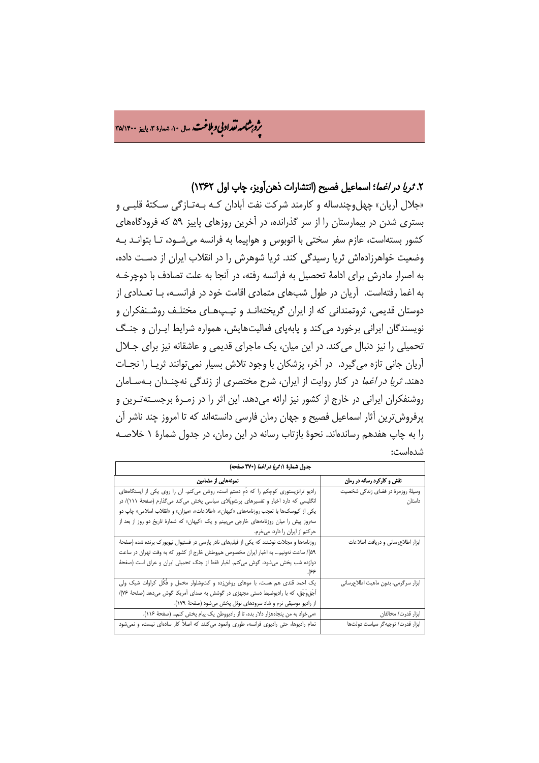ه مشامه تقداد بی و ملاغت سال ۱۰، شهاره ۳، پاییز ۳۵/۱۴۰۰<br>په

## .2 *ثریا در اغما*؛ اسماعیل فصیح (انتشارات ذهنآویز، چاپ اول ۱۳۶۲)

«جلال آریان» چهلوچندساله و کارمند شرکت نفت آبادان کـه بـه تـازگی سـ کتۀ قلبـی و بستری شدن در بیمارستان را از سر گذرانده، در آخرین روزهای پاییز 59 که فرودگاههای کشور بستهاست، عازم سفر سختی با اتوبوس و هواپیما به فرانسه میشـود ، تـا بتوانـد بـه وضعیت خواهرزادهاش ثریا رسیدگی کند. ثریا شوهرش را در انقلاب ایران از دسـت داده، به اصرار مادرش برای ادامۀ تحصیل به فرانسه رفته، در آنجا به علت تصادف با دوچرخـه به اغما رفتهاست. آریان در طول شبهای متمادی اقامت خود در فرانسـه ، بـا تعـدادی از دوستان قدیمی، ثروتمندانی که از ایران گریختهانـد و تیـپ هـای مختلـف روشـنفکران و نویسندگان ایرانی برخورد میکند و پابهپای فعالیتهایش، همواره شرایط ایـران و جنـگ تحمیلی را نیز دنبال میکند. در این میان، یک ماجرای قدیمی و عاشقانه نیز برای جـلال آریان جانی تازه میگیرد. در آخر، پزشکان با وجود تلاش بسیار نمیتوانند ثریـا را نجـات دهند. *ثریا در اغما* در کنار روایت از ایران، شرح مختصری از زندگی نهچنـدان بـهسـامان روشنفکران ایرانی در خارج از کشور نیز ارائه میدهد. این اثر را در زمـر ۀ برجسـته تـرین و پرفروشترین آثار اسماعیل فصیح و جهان رمان فارسی دانستهاند که تا امروز چند ناشر آن را به چاپ هفدهم رساندهاند. نحوۀ بازتاب رسانه در این رمان، در جدول شمارۀ 1 خلاصـه شدهاست:

| جدول شمارة ١: تريا در اغما (٣٧٠ صفحه)                                                     |                                     |
|-------------------------------------------------------------------------------------------|-------------------------------------|
| نمونههایی از مضامین                                                                       | نقش و کارکرد رسانه در رمان          |
| رادیو ترانزیستوری کوچکم را که دمِ دستم است، روشن میکنم. أن را روی یکی از ایستگاههای       | وسیلهٔ روزمرهٔ در فضای زندگی شخصیت  |
| انگلیسی که دارد اخبار و تفسیرهای پرتوپلای سیاسی پخش میکند میگذارم (صفحهٔ ۱۱۱)/ در         | داستان                              |
| یکی از کیوسکها با تعجب روزنامههای «کیهان»، «اطلاعات»، «میزان» و «انقلاب اسلامی» چاپ دو    |                                     |
| سهروز پیش را میان روزنامههای خارجی می بینم و یک «کیهان» که شمارهٔ تاریخ دو روز از بعد از  |                                     |
| حركتم از ايران را دارد، ميخرم.                                                            |                                     |
| روزنامهها و مجلات نوشتند که یکی از فیلمهای نادر پارسی در فستیوال نیویورک برنده شده (صفحهٔ | ابزار اطلاعرسانى و دريافت اطلاعات   |
| ۵۹/ ساعت نهونیم به اخبار ایران مخصوص هموطنان خارج از کشور که به وقت تهران در ساعت         |                                     |
| دوازده شب پخش میشود، گوش میکنم. اخبار فقط از جنگ تحمیلی ایران و عراق است (صفحهٔ           |                                     |
|                                                                                           |                                     |
| یک احمد قندی هم هست، با موهای روغنزده و کتوشلوار مخمل و فَکُل کراوات شیک ولی              | ابزار سرگرمی، بدون ماهیت اطلاعرسانی |
| اَجُق@جَق، که با رادیوضبط دستی مجهزی در گوشش به صدای آمریکا گوش میدهد (صفحهٔ ۷۶//         |                                     |
| از رادیو موسیقی نرم و شاد سرودهای نوئل پخش میشود (صفحهٔ ۱۷۹).                             |                                     |
| «میخواد به من پنجاههزار دلار بده، تا از رادیووطن یک پیام پخش کنم (صفحهٔ ۱۱۶).             | ابزار قدرت/ مخالفان                 |
| تمام رادیوها، حتی رادیوی فرانسه، طوری وانمود میکنند که اصلاً کار سادهای نیست، و نمیشود    | ابزار قدرت/ توجيه گر سياست دولتها   |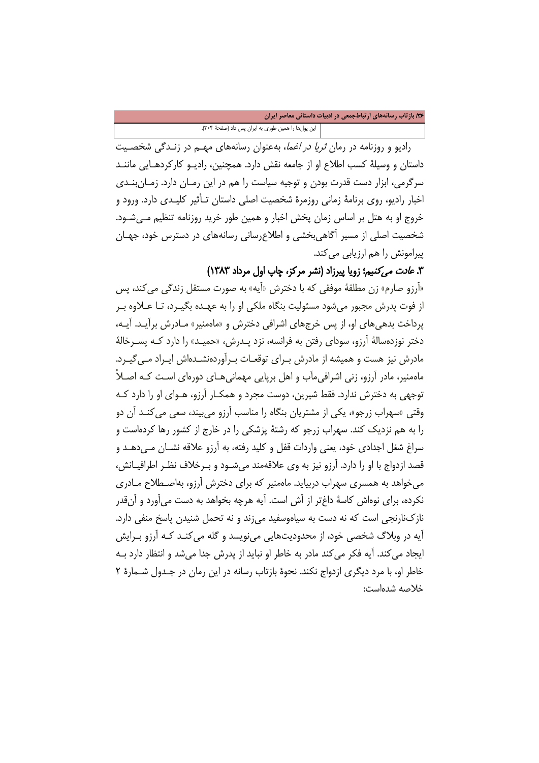/36 **بازتاب رسانههاي ارتباطجمعی در ادبیات داستانی معاصر ایران**

این پولها را همین طوری به ایران پس داد (صفحۀ 304).

رادیو و روزنامه در رمان *ثریا در اغما*، بهعنوان رسانههای مهـم در زنـدگی شخصـیت داستان و وسیلۀ کسب اطلاع او از جامعه نقش دارد. همچنین، رادیـو کارکردهـایی ماننـد سرگرمی، ابزار دست قدرت بودن و توجیه سیاست را هم در این رمـان دارد. زمـان بنـدی اخبار رادیو، روی برنامۀ زمانی روزمرۀ شخصیت اصلی داستان تـأثیر کلیـدی دارد. ورود و خروج او به هتل بر اساس زمان پخش اخبار و همین طور خرید روزنامه تنظیم مـی شـود. شخصیت اصلی از مسیر آگاهیبخشی و اطلاعرسانی رسانههای در دسترس خود، جهـان پیرامونش را هم ارزیابی میکند.

.3 عادت میکنیم؛ زویا پیرزاد (نشر مرکز، چاپ اول مرداد 1383)

«آرزو صارم» زن مطلقۀ موفقی که با دخترش «آیه» به صورت مستقل زندگی میکند، پس از فوت پدرش مجبور می شود مسئولیت بنگاه ملکی او را به عهـده بگیـرد، تـا عـلاوه بـر پرداخت بدهیهای او، از پس خرجهای اشرافی دخترش و «ماهمنیر» مـادرش برآیـد. آ یـ ه، دختر نوزدهسالۀ آرزو، سودای رفتن به فرانسه، نزد پـدرش، «حمیـد» را دارد کـه پســرخالۀ مادرش نیز هست و همیشه از مادرش بـرای توقعـات بـرآوردهنشـدهاش ایـراد مـی5یـرد. ماهمنیر، مادر آرزو، زنی اشرافیمآب و اهل برپایی مهمانیهـای دوره ای اسـت کـه اصـلاً توجهی به دخترش ندارد. فقط شیرین، دوست مجرد و همکـار آرزو ، هـوای او را دارد کـه وقتی «سهراب زرجو»، یکی از مشتریان بنگاه را مناسب آرزو میبیند، سعی میکنـد آن دو را به هم نزدیک کند. سهراب زرجو که رشتۀ پزشکی را در خارج از کشور رها کردهاست و سراغ شغل اجدادی خود، یعنی واردات قفل و کلید رفته، به آرزو علاقه نشـان مـی دهـد و قصد ازدواج با او را دارد. آرزو نیز به وی علاقهمند میشـود و بـرخلاف نظـر اطرافیـانش ، میخواهد به همسری سهراب دربیاید. ماهمنیر که برای دخترش آرزو، بهاصـطلاح مـادری نکرده، برای نوهاش کاسۀ داغتر از آش است. آیه هرچه بخواهد به دست میآورد و آنقدر نازکنارنجی است که نه دست به سیاهوسفید میزند و نه تحمل شنیدن پاسخ منفی دارد. آیه در وبلاگ شخصی خود، از محدودیتهایی مینویسد و گله میکنـد کـه آرزو بـرایش ایجاد می کند. آیه فکر می کند مادر به خاطر او نباید از پدرش جدا می شد و انتظار دارد بـه خاطر او، با مرد دیگری ازدواج نکند. نحوۀ بازتاب رسانه در این رمان در جـدول شـمار ۀ 2 خلاصه شدهاست: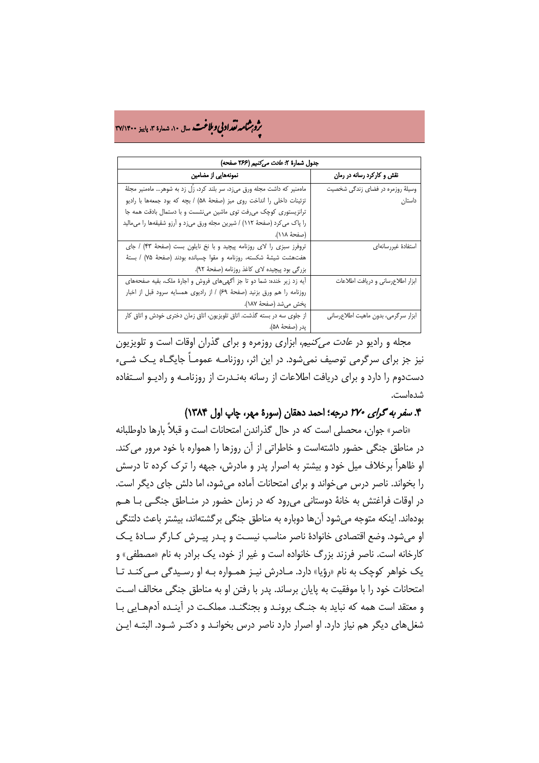# ه م**شامه تقداد بی و بلاغت** سال ۱۰، شماره ۳، پاییز ۳۷/۱۴۰۰<br>په

| جدول شمارة ٢: عادت مى كنيم (٢۶۶ صفحه)                                      |                                     |
|----------------------------------------------------------------------------|-------------------------------------|
| نمونههایی از مضامین                                                        | نقش و کارکرد رسانه در رمان          |
| ماهمنیر که داشت مجله ورق میزد، سر بلند کرد، زَل زد به شوهر… ماهمنیر مجلهٔ  | وسیلهٔ روزمره در فضای زندگی شخصیت   |
| تزئينات داخلي را انداخت روى ميز (صفحة ۵۸) / بچه كه بود جمعهها با راديو     | داستان                              |
| ترانزیستوری کوچک می رفت توی ماشین می نشست و با دستمال بادقت همه جا         |                                     |
| را پاک می کرد (صفحهٔ ۱۱۲) / شیرین مجله ورق میزد و اَرزو شقیقهها را میمالید |                                     |
| (صفحهٔ ۱۱۸).                                                               |                                     |
| تروفرز سبزى را لاى روزنامه پيچيد و با نخ نايلون بست (صفحة ۴۳) / جاى        | استفادة غيررسانهاى                  |
| هفت هشت شیشهٔ شکسته، روزنامه و مقوا چسبانده بودند (صفحهٔ ۷۵) / بستهٔ       |                                     |
| بزرگی بود پیچیده لای کاغذ روزنامه (صفحهٔ ۹۲).                              |                                     |
| آیه زد زیر خنده: شما دو تا جز آگهیهای فروش و اجارهٔ ملک، بقیه صفحههای      | ابزار اطلاعرسانى و دريافت اطلاعات   |
| روزنامه را هم ورق بزنيد (صفحة ٤٩) / از راديوى همسايه سرود قبل از اخبار     |                                     |
| پخش میشد (صفحهٔ ۱۸۷).                                                      |                                     |
| از جلوی سه در بسته گذشت. اتاق تلویزیون، اتاق زمان دختری خودش و اتاق کار    | ابزار سرگرمی، بدون ماهیت اطلاعرسانی |
| يدر (صفحة ۵۸).                                                             |                                     |

مجله و رادیو در عادت میکنیم، ابزاری روزمره و برای گذران اوقات است و تلویزیون نیز جز برای سرگرمی توصیف نمیشود. در این اثر، روزنامـه عمومـاً جایگـاه یـک شـیء دستدوم را دارد و برای دریافت اطلاعات از رسانه بهنـدرت از روزنامـه و رادیـو اسـتفاده شدهاست.

## .4 سفر به گرای 270 درجه؛ احمد دهقان (سورۀ مهر، چاپ اول 1384)

«ناصر» جوان، محصلی است که در حال گذراندن امتحانات است و قبلاً بارها داوطلبانه در مناطق جنگی حضور داشتهاست و خاطراتی از آن روزها را همواره با خود مرور میکند. او ظاهراً برخلاف میل خود و بیشتر به اصرار پدر و مادرش، جبهه را ترک کرده تا درسش را بخواند. ناصر درس میخواند و برای امتحانات آماده میشود، اما دلش جای دیگر است. در اوقات فراغتش به خانۀ دوستانی میرود که در زمان حضور در منـاطق جنگـی بـا هـم بودهاند. اینکه متوجه میشود آنها دوباره به مناطق جنگی برگشتهاند، بیشتر باعث دلتنگی او میشود. وضع اقتصادی خانوادۀ ناصر مناسب نیسـت و پـدر پیـرش کـارگر سـادۀ یـک کارخانه است. ناصر فرزند بزرگ خانواده است و غیر از خود، یک برادر به نام «مصطفی» و یک خواهر کوچک به نام «رؤیا» دارد. مـادرش نیـز همـواره بـه او رسـیدگی مـی کنـد تـا امتحانات خود را با موفقیت به پایان برساند. پدر با رفتن او به مناطق جنگی مخالف اسـت و معتقد است همه که نباید به جنـگ برونـد و بجنگنـد. مملکـت در آینـده آدم هـایی بـا شغلهای دیگر هم نیاز دارد. او اصرار دارد ناصر درس بخوانـد و دکتـر شـود. البتـه ایـن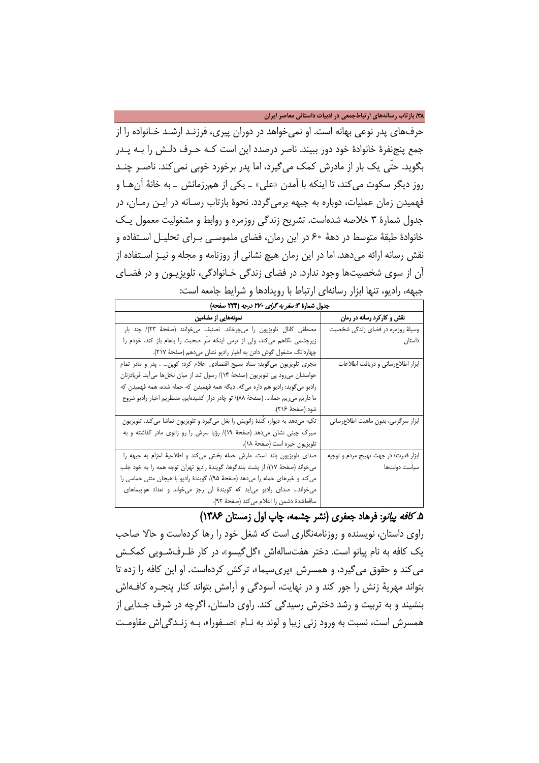/38 **بازتاب رسانههاي ارتباطجمعی در ادبیات داستانی معاصر ایران**

حرفهای پدر نوعی بهانه است. او نمیخواهد در دوران پیری، فرزنـد ارشـد خـانواده را از جمع پنجنفرۀ خانوادۀ خود دور ببیند. ناصر درصدد این است کـه حـرف دلـش را بـه پـدر بگوید. حتّی یک بار از مادرش کمک میگیرد، اما پدر برخورد خوبی نمیکند. ناصـر چنـد روز دیگر سکوت می *ک*ند، تا اینکه با آمدن «علی» ـ یکی از همرزمانش ـ به خانهٔ آنهـا و فهمیدن زمان عملیات، دوباره به جبهه برمی گردد. نحوۀ بازتاب رسـانه در ایـن رمـان، در جدول شمارۀ 3 خلاصه شدهاست. تشریح زندگی روزمره و روابط و مشغولیت معمول یـک خانوادۀ طبقۀ متوسط در دهۀ 60 در این رمان، فضای ملموسـی بـرای تحلیـل اسـتفاده و نقش رسانه ارائه میدهد. اما در این رمان هیچ نشانی از روزنامه و مجله و نیـ ز اسـتفاده از آن از سوی شخصیتها وجود ندارد. در فضای زندگی خـانوادگی، تلویزیـون و در فضـای جبهه، رادیو، تنها ابزار رسانهای ارتباط با رویدادها و شرایط جامعه است:

| جدول شمارة ٣: <i>سفر به گرای ٢٧٠ درجه</i> (٢٢٣ صفحه)                              |                                       |
|-----------------------------------------------------------------------------------|---------------------------------------|
| نمونههایی از مضامین                                                               | نقش و کارکرد رسانه در رمان            |
| مصطفى كانال تلويزيون را مى چرخاند. تصنيف مى خوانند (صفحة ٢٣)/ چند بار             | وسیلهٔ روزمره در فضای زندگی شخصیت     |
| زیرچشمی نگاهم می کند، ولی از ترس اینکه سَرِ صحبت را باهام باز کند، خودم را        | داستان                                |
| چهاردانگ مشغول گوش دادن به اخبار راديو نشان ميدهم (صفحهٔ ٢١٧).                    |                                       |
| مجری تلویزیون میگوید: ستاد بسیج اقتصادی اعلام کرد: کوپن . پدر و مادر تمام         | ابزار اطلاعرسانی و دریافت اطلاعات     |
| حواسشان می رود پی تلویزیون (صفحهٔ ۱۴)/ رسول تند از میان نخلها میآید. فریادزنان    |                                       |
| رادیو میگوید: رادیو هم داره میگه. دیگه همه فهمیدن که حمله شده، همه فهمیدن که      |                                       |
| ما داریم می ریم حمله (صفحهٔ ٨٨)/ تو چادر دراز كشيدهايم. منتظريم اخبار راديو شروع  |                                       |
| شود (صفحهٔ ۲۱۶).                                                                  |                                       |
| تکیه میدهد به دیوار، کَندهٔ زانویش را بغل میگیرد و تلویزیون تماشا میکند. تلویزیون | ابزار سرگرمی، بدون ماهیت اطلاعرسانی   |
| سیرک چینی نشان میدهد (صفحهٔ ۱۹)/ رؤیا سرش را رو زانوی مادر گذاشته و به            |                                       |
| تلويزيون خيره است (صفحهٔ ۱۸).                                                     |                                       |
| صدای تلویزیون بلند است. مارش حمله پخش می کند و اطلاعیهٔ اعزام به جبهه را          | ابزار قدرت/ در جهت تهييج مردم و توجيه |
| میخواند (صفحهٔ ۱۷)/ از پشت بلندگوها، گویندهٔ رادیو تهران توجه همه را به خود جلب   | سياست دولتها                          |
| می کند و خبرهای حمله را میدهد (صفحهٔ ۹۵)/ گویندهٔ رادیو با هیجان متنی حماسی را    |                                       |
| می خواند صدای رادیو می آید که گویندهٔ آن رجز می خواند و تعداد هواپیماهای          |                                       |
| ساقط شدة دشمن را اعلام مي كند (صفحة ٩٢).                                          |                                       |

## .5 کافه پیانو: فرهاد جعفری (نشر چشمه، چاپ اول زمستان 1386)

راوی داستان، نویسنده و روزنامهنگاری است که شغل خود را رها کردهاست و حالا صاحب یک کافه به نام پیانو است. دختر هفتسالهاش «گل گیسو»، در کار ظـرفشـویی کمکـش میکند و حقوق میگیرد، و همسرش «پریسیما»، ترکش کردهاست. او این کافه را زده تا بتواند مهریۀ زنش را جور کند و در نهایت، آسودگی و آرامش بتواند کنار پنجـره کافـه اش بنشیند و به تربیت و رشد دخترش رسیدگی کند. راوی داستان، اگرچه در شرف جـدایی از همسرش است، نسبت به ورود زنی زیبا و لوند به نـام «صـفورا »، بـه زنـدگی اش مقاومـت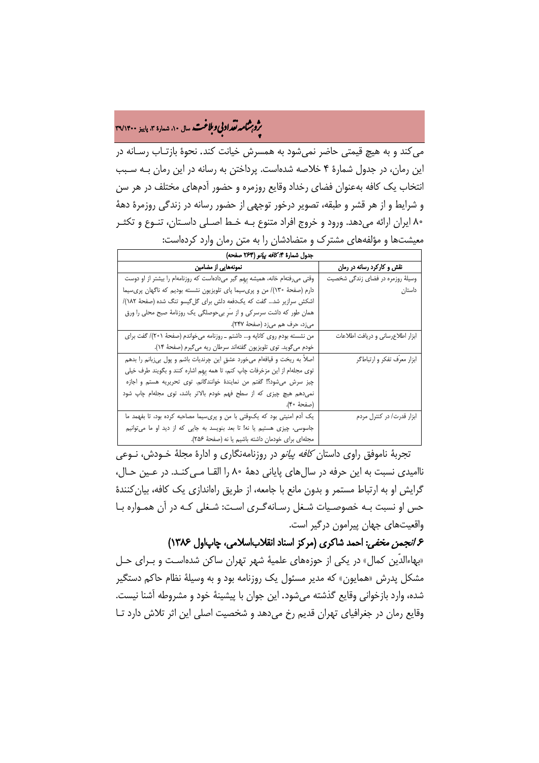# ه مشامه تقداد بی و ملاغت سال ۱۰، شهاره ۳، پاییز ۳۹/۱۴۰۰<br>په

میکند و به هیچ قیمتی حاضر نمیشود به همسرش خیانت کند. نحوۀ بازتـاب رسـانه در این رمان، در جدول شمارۀ 4 خلاصه شدهاست. پرداختن به رسانه در این رمان بـه سـبب انتخاب یک کافه بهعنوان فضای رخداد وقایع روزمره و حضور آدمهای مختلف در هر سن و شرایط و از هر قشر و طبقه، تصویر درخور توجهی از حضور رسانه در زندگی روزمرۀ دهۀ 80 ایران ارائه میدهد. ورود و خروج افراد متنوع بـه خـط اصـلی داسـتان، تنـوع و تکثـر معیشتها و مؤلفههای مشترک و متضادشان را به متن رمان وارد کردهاست:

| جدول شمارة ۴: <i>كافه پيانو (</i> ۲۶۴ صفحه)                                    |                                   |
|--------------------------------------------------------------------------------|-----------------------------------|
| نمونههایی از مضامین                                                            | نقش و کارکرد رسانه در رمان        |
| وقتی میرفتهام خانه، همیشه بِهِم گیر میدادهاست که روزنامهام را بیشتر از او دوست | وسیلهٔ روزمره در فضای زندگی شخصیت |
| دارم (صفحهٔ ۱۳۰)/ من و پریسیما پای تلویزیون نشسته بودیم که ناگهان پریسیما      | داستان                            |
| اشکش سرازیر شد گفت که یکدفعه دلش برای گلگیسو تنگ شده (صفحهٔ ۱۸۲)/              |                                   |
| همان طور که داشت سرسر کی و از سّر بی حوصلگی یک روزنامهٔ صبح محلی را ورق        |                                   |
| میزد، حرف هم میزد (صفحهٔ ۲۴۷).                                                 |                                   |
| من نشسته بودم روى كاناپه و داشتم ـ روزنامه مىخواندم (صفحهٔ ٢٠١)/ گفت براى      | ابزار اطلاعرساني و دريافت اطلاعات |
| خودم مي گويد. توي تلويزيون گفتهاند سرطان ريه مي گيرم (صفحهٔ ۱۴).               |                                   |
| اصلاً به ريخت و قيافهام ميخورد عشقٍ اين چرنديات باشم و پول بيزبانم را بدهم     | ابزار معرّف تفكر و ارتباطگر       |
| توی مجلهام از این مزخرفات چاپ کنم، تا همه بهم اشاره کنند و بگویند طرف خیلی     |                                   |
| چیز سرش می شود؟! گفتم من نمایندهٔ خوانندگانم. توی تحریریه هستم و اجازه         |                                   |
| نمی دهم هیچ چیزی که از سطح فهم خودم بالاتر باشد، توی مجلهام چاپ شود            |                                   |
| (صفحة ۴۰).                                                                     |                                   |
| یک اَدم امنیتی بود که یکوقتی با من و پریسیما مصاحبه کرده بود، تا بفهمد ما      | ابزار قدرت/ در کنترل مردم         |
| جاسوسی، چیزی هستیم یا نه! تا بعد بنویسد به جایی که از دید او ما می توانیم      |                                   |
| مجلهای برای خودمان داشته باشیم یا نه (صفحهٔ ٢۵۶).                              |                                   |

تجربۀ ناموفق راوی داستان کافه پیانو در روزنامهنگاری و ادارۀ مجلۀ خـودش، نـوعی ناامیدی نسبت به این حرفه در سالهای پایانی دهۀ 80 را القـا مـی کنـد. در عـین حـال ، گرایش او به ارتباط مستمر و بدون مانع با جامعه، از طریق راهاندازی یک کافه، بیانکنندۀ حس او نسبت بـه خصوصـیات شـغل رسـانه گـری اسـت: شـغلی کـه در آن همـواره بـا واقعیتهای جهان پیرامون درگیر است.

.6 انجمن مخفی: احمد شاکری ( مرکز اسناد انقلاباسلامی، چاپاول 1386)

«بهاءالدّین کمال» در یکی از حوزههای علمیۀ شهر تهران ساکن شدهاسـت و بـرا ی حـل مشکل پدرش «همایون» که مدیر مسئول یک روزنامه بود و به وسیلۀ نظام حاکم دستگیر شده، وارد بازخوانی وقایع گذشته میشود. این جوان با پیشینۀ خود و مشروطه آشنا نیست. وقایع رمان در جغرافیای تهران قدیم رخ میدهد و شخصیت اصلی این اثر تلاش دارد تـا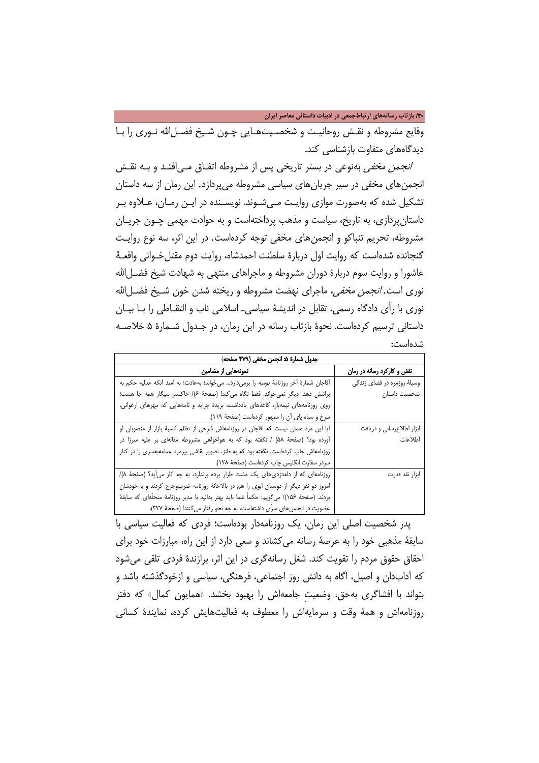/40 **بازتاب رسانههاي ارتباطجمعی در ادبیات داستانی معاصر ایران**

وقایع مشروطه و نقـش روحانیـت و شخصـیتهـایی چـون شـیخ فضـل|لله نـوری را بـا دیدگاههای متفاوت بازشناسی کند.

ا*نجمن مخفی* بهنوعی در بستر تاریخی پس از مشروطه اتفـاق مـی|فتـد و بـه نقـش انجمنهای مخفی در سیر جریانهای سیاسی مشروطه میپردازد. این رمان از سه داستان تشکیل شده که بهصورت موازی روایـت مـیشـوند. نویسـنده در ایـن رمـان، عـلاوه بـر داستانپردازی، به تاریخ، سیاست و مذهب پرداختهاست و به حوادث مهمی چـون جر یـ ان مشروطه، تحریم تنباکو و انجمنهای مخفی توجه کردهاست. در این اثر، سه نوع روایـت گنجانده شدهاست که روایت اول دربارۀ سلطنت احمدشاه، روایت دوم مقتل خـوانی واقعـۀ عاشورا و روایت سوم دربارۀ دوران مشروطه و ماجراهای منتهی به شهادت شیخ فضـل االله نوری است. *انجمن مخفی،* ماجرای نهضت مشروطه و ریخته شدن خون شـیخ فضـل|لله نوری با رأی دادگاه رسمی، تقابل در اندیشۀ سیاسیـ اسلامی ناب و التقـاطی را بـا بیـان داستانی ترسیم کردهاست. نحوۀ بازتاب رسانه در این رمان، در جـدول شـمار ۀ 5 خلاصـه شدهاست:

| جدول شمارة ۵ انجمن مخفى (٣٧٩ صفحه)                                                             |                             |
|------------------------------------------------------------------------------------------------|-----------------------------|
| نمونههایی از مضامین                                                                            | نقش و کارکرد رسانه در رمان  |
| آقاجان شمارهٔ آخر روزنامهٔ <i>یومیه</i> را برمیدارد میخواند؛ بهعادت؛ به امید آنکه عدلیه حکم به | وسیلهٔ روزمره در فضای زندگی |
| برائتش دهد. دیگر نمیخواند. فقط نگاه می کند! (صفحهٔ ۶)/ خاکستر سیگار همه جا هست؛                | شخصیت داستان                |
| روی روزنامههای نیمهباز، کاغذهای یادداشت، بریدهٔ جراید و نامههایی که مهرهای ارغوانی،            |                             |
| سرخ و سياه پاى آن را ممهور كردهاست (صفحة ١١٩).                                                 |                             |
| آیا این مرد همان نیست که آقاجان در روزنامهاش شرحی از تظلم کسبهٔ بازار از منصوبان او            | ابزار اطلاعرسانی و دریافت   |
| آورده بود؟ (صفحهٔ ۵۸) / نگفته بود که به هواخواهی مشروطه مقالهای بر علیه میرزا در               | اطلاعات                     |
| روزنامهاش چاپ کردهاست. نگفته بود که به طنز، تصویر نقاشی پیرمرد عمامهبهسری را در کنار           |                             |
| سردر سفارت انگلیس چاپ کردهاست (صفحهٔ ۱۲۸).                                                     |                             |
| روزنامهای که از دلهدزدی های یک مشت طرار پرده برندارد، به چه کار می آید؟ (صفحهٔ ٨)/             | ابزار نقد قدرت              |
| امروز دو نفر دیگر از دوستان ابوی را هم در بالاخانهٔ روزنامه ضربوجرح کردند و با خودشان          |                             |
| بردند. (صفحهٔ ۱۵۶)/ میگویم: حکماً شما باید بهتر بدانید با مدیر روزنامهٔ منحلَّهای که سابقهٔ    |                             |
| عضویت در انجمنهای سرّی داشتهاست، به چه نحو رفتار می کنند! (صفحهٔ ۳۲۷).                         |                             |

پدر شخصیت اصلی این رمان، یک روزنامهدار بودهاست؛ فردی که فعالیت سیاسی با سابقۀ مذهبی خود را به عرصۀ رسانه میکشاند و سعی دارد از این راه، مبارزات خود برای احقاق حقوق مردم را تقویت کند. شغل رسانهگری در این اثر، برازندۀ فردی تلقی میشود که آدابدان و اصیل، آگاه به دانش روز اجتماعی، فرهنگی، سیاسی و ازخودگذشته باشد و بتواند با افشاگری بهحق، وضعیتِ جامعهاش را بهبود بخشد. «همایون کمال» که دفتر روزنامهاش و همۀ وقت و سرمایهاش را معطوف به فعالیتهایش کرده، نمایندۀ کسانی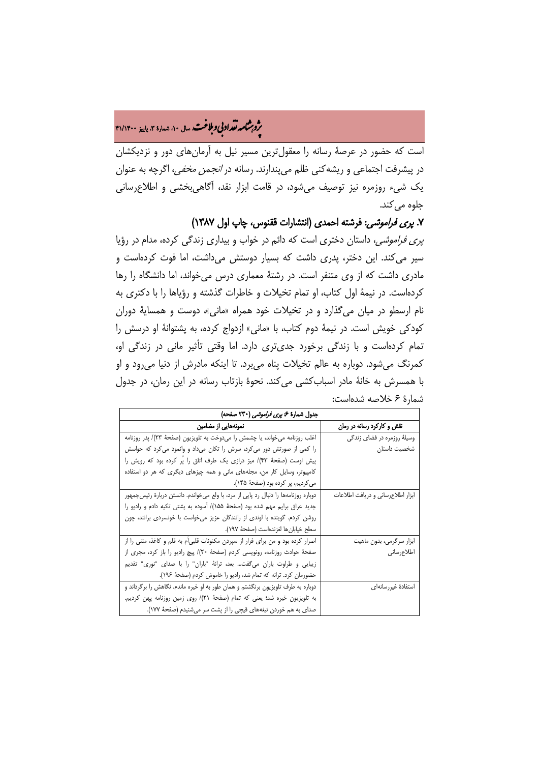# ه م**شامه تقداد بی و بلاغت** سال ۱۰، شماره ۳، پاییز ۴۱/۱۴۰۰<br>په

است که حضور در عرصۀ رسانه را معقولترین مسیر نیل به آرمانهای دور و نزدیکشان در پیشرفت اجتماعی و ریشهکنی ظلم میپندارند. رسانه در انجمن مخفی، اگرچه به عنوان یک شیء روزمره نیز توصیف میشود، در قامت ابزار نقد، آگاهیبخشی و اطلاعرسانی جلوه م*ی ک*ند.

### .7 پری فراموشی: فرشته احمدی (انتشارات ققنوس، چاپ اول 1387)

پری فراموشی، داستان دختری است که دائم در خواب و بیداری زندگی کرده، مدام در رؤیا سیر میکند. این دختر، پدری داشت که بسیار دوستش میداشت، اما فوت کردهاست و مادری داشت که از وی متنفر است. در رشتۀ معماری درس میخواند، اما دانشگاه را رها کردهاست. در نیمۀ اول کتاب، او تمام تخیلات و خاطرات گذشته و رؤیاها را با دکتری به نام ارسطو در میان میگذارد و در تخیلات خود همراه «مانی»، دوست و همسایۀ دوران کودکی خویش است. در نیمۀ دوم کتاب، با «مانی» ازدواج کرده، به پشتوانۀ او درسش را تمام کردهاست و با زندگی برخورد جدیتری دارد. اما وقتی تأثیر مانی در زندگی او، کمرنگ میشود. دوباره به عالم تخیلات پناه میبرد. تا اینکه مادرش از دنیا میرود و او با همسرش به خانۀ مادر اسبابکشی میکند. نحوۀ بازتاب رسانه در این رمان، در جدول شمارۀ 6 خلاصه شدهاست:

| جدول شمارهٔ ۶ <i>پری فراموشی</i> (۲۳۰ صفحه)                                           |                                   |
|---------------------------------------------------------------------------------------|-----------------------------------|
| نمونههایی از مضامین                                                                   | - نقش و کارکرد رسانه در رمان      |
| اغلب روزنامه میخواند، یا چشمش را میدوخت به تلویزیون (صفحهٔ ۲۳)/ پدر روزنامه           | وسیلهٔ روزمره در فضای زندگی       |
| را کمی از صورتش دور میکرد، سرش را تکان میداد و وانمود میکرد که حواسش                  | شخصیت داستان                      |
| پیش اوست (صفحهٔ ۴۳)/ میز درازی یک طرف اتاق را پُر کرده بود که رویش را                 |                                   |
| کامپیوتر، وسایل کار من، مجلههای مانی و همه چیزهای دیگری که هر دو استفاده              |                                   |
| می کردیم، پر کرده بود (صفحهٔ ۱۴۵).                                                    |                                   |
| دوباره روزنامهها را دنبال رد پایی از مرد، با ولع می خواندم. دانستن دربارهٔ رئیس جمهور | ابزار اطلاع رسانى ودريافت اطلاعات |
| جدید عراق برایم مهم شده بود (صفحهٔ ۱۵۵)/ آسوده به پشتی تکیه دادم و رادیو را           |                                   |
| روشن كردم. گوينده با لوندى از رانندگان عزيز مىخواست با خونسردى برانند، چون            |                                   |
| سطح خيابانها لغزندەاست (صفحهٔ ١٩٧).                                                   |                                   |
| اصرار کرده بود و من برای فرار از سپردن مکنونات قلبی ٔم به قلم و کاغذ، متنی را از      | ابزار سرگرمی، بدون ماهیت          |
| صفحهٔ حوادث روزنامه، رونویسی کردم (صفحهٔ ۲۰)/ پیچ رادیو را باز کرد، مجری از           | اطلاع رسانی                       |
| زیبایی و طراوت باران میگفت بعد، ترانهٔ "باران" را با صدای "نوری" تقدیم                |                                   |
| حضورمان كرد. ترانه كه تمام شد، راديو را خاموش كردم (صفحة ١٩٤).                        |                                   |
| دوباره به طرف تلویزیون برنگشتم و همان طور به او خیره ماندم. نگاهش را برگرداند و       | استفادة غيررسانهاى                |
| به تلویزیون خیره شد؛ یعنی که تمام (صفحهٔ ۲۱)/ روی زمین روزنامه پهن کردیم.             |                                   |
| صدای به هم خوردن تیغههای قیچی را از پشت سر می شنیدم (صفحهٔ ۱۷۷).                      |                                   |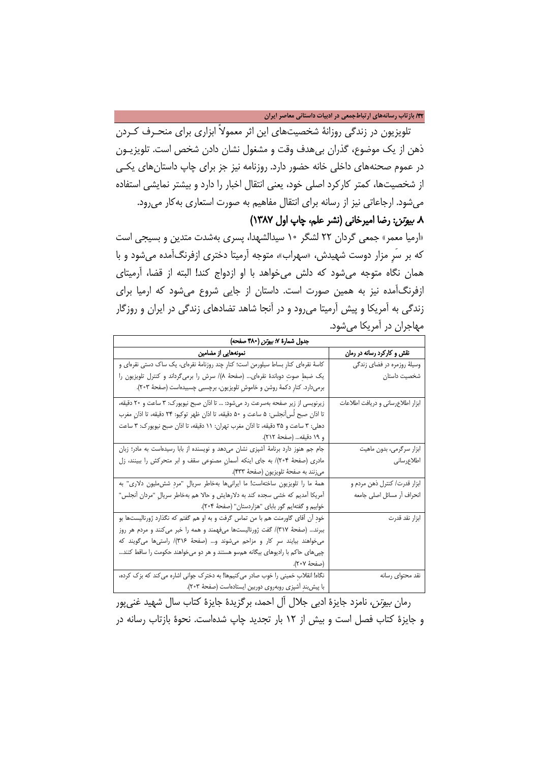### /42 **بازتاب رسانههاي ارتباطجمعی در ادبیات داستانی معاصر ایران**

تلویزیون در زندگی روزانۀ شخصیتهای این اثر معمولاً ابزاری برای منحـرف کـردن ذهن از یک موضوع، گذران بیهدف وقت و مشغول نشان دادن شخص است. تلویزیـ ون در عموم صحنههای داخلی خانه حضور دارد. روزنامه نیز جز برای چاپ داستانهای یکـی از شخصیتها، کمتر کارکرد اصلی خود، یعنی انتقال اخبار را دارد و بیشتر نمایشی استفاده میشود. ارجاعاتی نیز از رسانه برای انتقال مفاهیم به صورت استعاری بهکار میرود.

## .8 بیوتن: رضا امیرخانی (نشر علم، چاپ اول 1387)

«ارمیا معمر» جمعی گردان 22 لشگر 10 سیدالشهدا، پسری بهشدت متدین و بسیجی است که بر سَرِ مزار دوست شهیدش، «سهراب»، متوجه آرمیتا دختری ازفرنگآمده میشود و با همان نگاه متوجه میشود که دلش میخواهد با او ازدواج کند! البته از قضا، آرمیتای ازفرنگآمده نیز به همین صورت است. داستان از جایی شروع میشود که ارمیا برای زندگی به آمریکا و پیش آرمیتا میرود و در آنجا شاهد تضادهای زندگی در ایران و روزگار مهاجران در آمریکا میشود.

| جدول شمارة ٧: بي <i>وتن</i> (٣٨٠ صفحه)                                               |                                   |
|--------------------------------------------------------------------------------------|-----------------------------------|
| نمونههایی از مضامین                                                                  | نقش و کارکرد رسانه در رمان        |
| کاسهٔ نقرهای کنارِ بساط سیلورمن است؛ کنارِ چند روزنامهٔ نقرهای، یک ساک دستی نقرهای و | وسیلهٔ روزمره در فضای زندگی       |
| یک ضبطِ صوتِ دوباندهٔ نقرهای… (صفحهٔ ۸)/ سرش را برمیگرداند و کنترل تلویزیون را       | شخصيت داستان                      |
| برميدارد. كنارِ دكمةَ روشن و خاموشِ تلويزيون، برچسبي چسبيدەاست (صفحهٔ ٢٠٣).          |                                   |
| زیرنویسی از زیر صفحه بهسرعت رد میشود: … تا اذان صبح نیویورک: ۳ ساعت و ۲۰ دقیقه،      | ابزار اطلاعرساني و دريافت اطلاعات |
| تا اذان صبح لَس[نجلس: ۵ ساعت و ۵۰ دقیقه، تا اذان ظهر توکیو: ۲۴ دقیقه، تا اذانِ مغرب  |                                   |
| دهلي: ٣ ساعت و ٣۵ دقيقه، تا اذان مغرب تهران: ١١ دقيقه، تا اذان صبح نيويورك: ٣ ساعت   |                                   |
| و ١٩ دقيقه (صفحهٔ ٢١٢).                                                              |                                   |
| جام جم هنوز دارد برنامهٔ آشپزی نشان میدهد و نویسنده از بابا رسیدهاست به مادر؛ زبان   | ابزار سرگرمی، بدون ماهیت          |
| مادری (صفحهٔ ۲۰۴)/ به جای اینکه آسمانِ مصنوعی سقف و ابر متحرکش را ببینند، زل         | اطلاع رسانى                       |
| ميزنند به صفحة تلويزيون (صفحة ۴۳۳).                                                  |                                   |
| همهٔ ما را تلویزیون ساختهاست! ما ایرانیها بهخاطر سریالِ "مردِ شش ملیون دلاری" به     | ابزار قدرت/ كنترل ذهن مردم و      |
| آمریکا آمدیم که خشی سجده کند به دلارهایش و حالا هم بهخاطر سریالِ "مردان آنجلس"       | انحراف أر مسائل اصلى جامعه        |
| خوابيم و گفتهايم گور باباي "هزاردستان" (صفحهٔ ۲۰۴).                                  |                                   |
| خودِ أن أقاى گاورمنت هم با من تماس گرفت و به او هم گفتم كه نگذارد ژورناليستها بو     | ابزار نقد قدرت                    |
| ببرند… (صفحهٔ ۳۱۷)/ گفت ژورنالیستها میفهمند و همه را خبر میکنند و مردم هر روز        |                                   |
| میخواهند بیایند سرِ کار و مزاحم میشوند و… (صفحهٔ ۳۱۶)/ راستیها میگویند که            |                                   |
| چپیهای حاکم با رادیوهای بیگانه همسو هستند و هر دو میخواهند حکومت را ساقط کنند…       |                                   |
| (صفحة ٢٠٧).                                                                          |                                   |
| نگاه! انقلابِ خمینی را خوب صادر می کنیمها! به دخترک جوانی اشاره می کند که بزک کرده،  | نقد محتواي رسانه                  |
| با پیش بندِ آشپزی روبهروی دوربین ایستادهاست (صفحهٔ ۲۰۳).                             |                                   |

رمان بیوتن، نامزد جایزۀ ادبی جلال آل احمد، برگزیدۀ جایزۀ کتاب سال شهید غنیپور و جایزۀ کتاب فصل است و بیش از 12 بار تجدید چاپ شدهاست. نحوۀ بازتاب رسانه در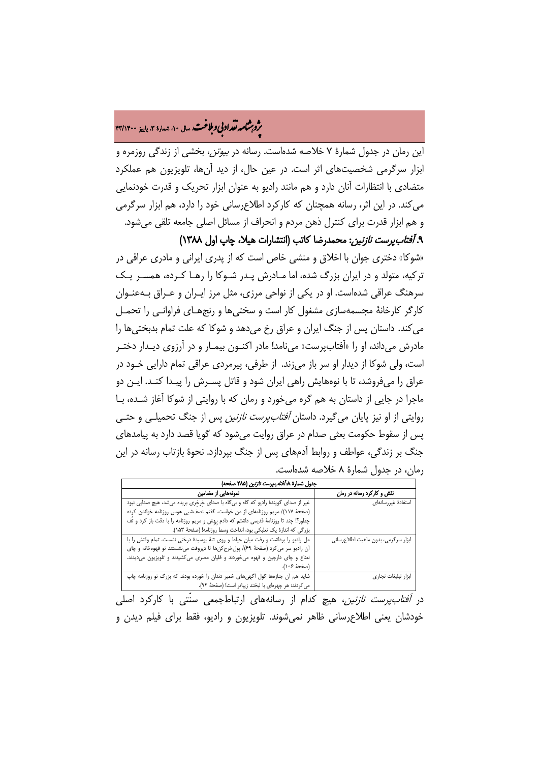# ه مشامه تقداد بی و ملاغت سال ۱۰، شهاره ۳، پاییز ۴۳/۱۴۰۰<br>په

این رمان در جدول شمارۀ 7 خلاصه شدهاست. رسانه در بیوتن، بخشی از زندگی روزمره و ابزار سرگرمی شخصیتهای اثر است. در عین حال، از دید آنها، تلویزیون هم عملکرد متضادی با انتظارات آنان دارد و هم مانند رادیو به عنوان ابزار تحریک و قدرت خودنمایی میکند. در این اثر، رسانه همچنان که کارکرد اطلاعرسانی خود را دارد، هم ابزار سرگرمی و هم ابزار قدرت برای کنترل ذهن مردم و انحراف از مسائل اصلی جامعه تلقی میشود. ۹. *آفتابپرست نازنین*: محمدرضا کاتب (انتشارات هیلا، چاپ اول ۱۳۸۸)

«شوکا» دختری جوان با اخلاق و منشی خاص است که از پدری ایرانی و مادری عراقی در ترکیه، متولد و در ایران بزرگ شده، اما مـادرش پـد ر شـوکا را رهـا کـرده ، همسـر یـک سرهنگ عراقی شدهاست. او در یکی از نواحی مرزی، مثل مرز ایـران و عـراق بـه عنـوان کارگر کارخانۀ مجسمهسازی مشغول کار است و سختیها و رنجهـای فراوانـی را تحمـل میکند. داستان پس از جنگ ایران و عراق رخ میدهد و شوکا که علت تمام بدبختیها را مادرش میداند، او را «آفتابپرست» مینامد! مادر اکنـون بیمـار و در آرزوی دیـدار دختـر است، ولی شوکا از دیدار او سر باز میزند. از طرفی، پیرمردی عراقی تمام دارایی خـود در عراق را میفروشد، تا با نوههایش راهی ایران شود و قاتل پسـرش را پیـدا کنـد. ایـن دو ماجرا در جایی از داستان به هم گره میخورد و رمان که با روایتی از شوکا آغاز شـده ، بـا روایتی از او نیز پایان میگیرد. داستان آفتابپرست نازنین پس از جنگ تحمیلـی و حتـی پس از سقوط حکومت بعثی صدام در عراق روایت میشود که گویا قصد دارد به پیامدهای جنگ بر زندگی، عواطف و روابط آدمهای پس از جنگ بپردازد. نحوۀ بازتاب رسانه در این رمان، در جدول شمارۀ ۸ خلاصه شدهاست.

| جدول شمارة ٨ <i>٠ أفتاب پرست نازنين</i> (٢٨۵ صفحه)                                      |                                     |
|-----------------------------------------------------------------------------------------|-------------------------------------|
| نمونههایی از مضامین                                                                     | نقش و کارکرد رسانه در رمان          |
| غیر از صدای گویندهٔ رادیو که گاه و بیگاه با صدای خرخری بریده میشد، هیچ صدایی نبود       | استفادة غيررسانهاى                  |
| (صفحهٔ ۱۱۷)/ مریم روزنامهای از من خواست. گفتم نصفشبی هوس روزنامه خواندن کرده            |                                     |
| چطور؟! چند تا روزنامهٔ قدیمی داشتم که دادم بِهِش و مریم روزنامه را با دقت باز کرد و تَف |                                     |
| بزرگی که اندازهٔ یک نعلبکی بود، انداخت وسط روزنامه! (صفحهٔ ۱۵۳).                        |                                     |
| مل رادیو را برداشت و رفت میان حیاط و روی تنهٔ پوسیدهٔ درختی نشست. تمام وقتش را با       | ابزار سرگرمی، بدون ماهیت اطلاعرسانی |
| آن راديو سر مي كرد (صفحهٔ ۶۹)/ پولخرج كنها تا ديروقت مينشستند تو قهوهخانه و چاي         |                                     |
| نعناع و چای دارچین و قهوه میخوردند و قلیان مصری میکشیدند و تلویزیون میدیدند.            |                                     |
| (صفحة ۱۰۶).                                                                             |                                     |
| شاید هم آن جنازهها گول اگهیهای خمیر دندان را خورده بودند که بزرگ تو روزنامه چاپ         | ابزار تبليغات تجارى                 |
| مي كردند: هر چهرهاي با لبخند زيباتر است! (صفحهٔ ٩٢).                                    |                                     |

در *آفتابپرست نازنین*، هیچ کدام از رسانههای ارتباطجمعی سنّتی با کارکرد اصلی خودشان یعنی اطلاعرسانی ظاهر نمیشوند. تلویزیون و رادیو، فقط برای فیلم دیدن و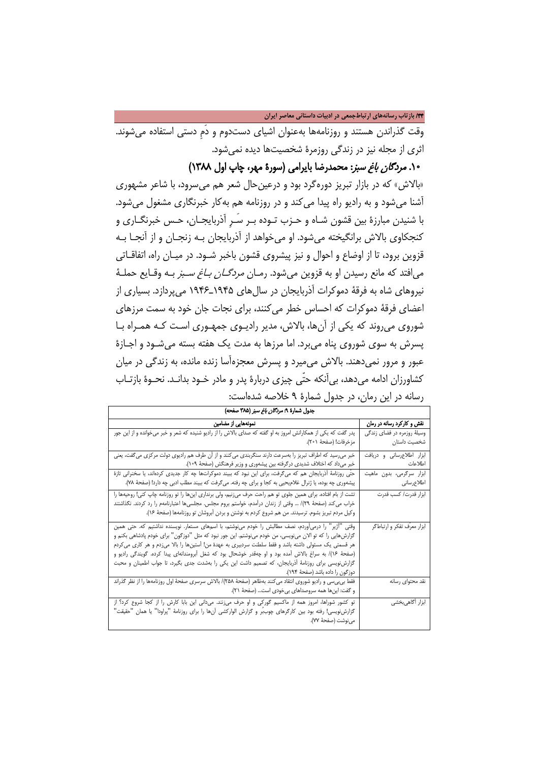/44 **بازتاب رسانههاي ارتباطجمعی در ادبیات داستانی معاصر ایران**

وقت گذراندن هستند و روزنامهها بهعنوان اشیای دستدوم و دَمِ دستی استفاده میشوند. اثری از مجله نیز در زندگی روزمرۀ شخصیتها دیده نمیشود.

.10 مردگان باغ سبز: محمدرضا بایرامی (سورۀ مهر، چاپ اول 1388)

«بالاش» که در بازار تبریز دورهگرد بود و درعینحال شعر هم میسرود، با شاعر مشهوری آشنا میشود و به رادیو راه پیدا میکند و در روزنامه هم بهکار خبرنگاری مشغول میشود. با شنیدن مبارزۀ بین قشون شـاه و حـزب تـوده بـر سَـ رِ آذربایجـان ، حـس خبرنگـار ی و کنجکاوی بالاش برانگیخته میشود. او میخواهد از آذربایجان بـه زنجـان و از آنجـا بـه قزوین برود، تا از اوضاع و احوال و نیز پیشروی قشون باخبر شـود. در میـان راه، اتفاقـاتی میافتد که مانع رسیدن او به قزوین میشود. رمـان مردگـان بـاغ سـبز بـه وقـایع حملـ ۀ نیروهای شاه به فرقۀ دموکرات آذربایجان در سالهای 1945ـ1946 میپردازد. بسیاری از اعضای فرقۀ دموکرات که احساس خطر میکنند، برای نجات جان خود به سمت مرزهای شوروی می روند که یکی از آنها، بالاش، مدیر رادیـوی جمهـوری اسـت کـه همـراه بـا پسرش به سوی شوروی پناه میبرد. اما مرزها به مدت یک هفته بسته میشـود و اجـاز ۀ عبور و مرور نمیدهند. بالاش میمیرد و پسرش معجزهآسا زنده مانده، به زندگی در میان کشاورزان ادامه میدهد، بیآنکه حتّی چیزی دربارۀ پدر و مادر خـود بدانـد. نحـوۀ بازتـاب

| جدول شمارة ٩: <i>مردكان باغ سبز</i> (٣٨۵ صفحه)                                                                 |                             |
|----------------------------------------------------------------------------------------------------------------|-----------------------------|
| نمونههایی از مضامین                                                                                            | نقش و کارکرد رسانه در رمان  |
| پدر گفت که یکی از همکارانش امروز به او گفته که صدای بالاش را از رادیو شنیده که شعر و خبر میخوانده و از این جور | وسیلهٔ روزمره در فضای زندگی |
| مزخرفات! (صفحهٔ ۲۰۱).                                                                                          | شخصيت داستان                |
| خبر میرسید که اطراف تبریز را بهسرعت دارند سنگربندی میکنند و از آن طرف هم رادیوی دولت مرکزی میگفت، یعنی         | ابزار اطلاع رسانى ودريافت   |
| خبر میداد که اختلاف شدیدی درگرفته بین پیشهوری و وزیر فرهنگش (صفحهٔ ۱۰۹).                                       | اطلاعات                     |
| حتّى روزنامهٔ أذربايجان هم كه مىگرفت، براى اين نبود كه ببيند دموكراتها چه كار جديدى كردهاند، يا سخنرانى تازهٔ  | ابزار سرگرمی، بدون ماهیت    |
| پیشهوری چه بوده، یا ژنرال غلامیحیی به کجا و برای چه رفته. میگرفت که ببیند مطلب ادبی چه دارد! (صفحهٔ ۷۸).       | اطلاعرسانى                  |
| تشت از بام افتاده. برای همین جلوی تو هم راحت حرف میزنیم، ولی برنداری اینها را تو روزنامه چاپ کنی! روحیهها را   | ابزار قدرت/ كسب قدرت        |
| خراب میکند (صفحهٔ ۲۹)/ … وقتی از زندان درآمدم، خواستم بروم مجلس. مجلسیها اعتبارنامهم را رد کردند. نگذاشتند     |                             |
| وكيل مردم تبريز بشوم. ترسيدند. من هم شروع كردم به نوشتن و بردن ابروشان تو روزنامهها (صفحة ۱۶).                 |                             |
| وقتی "آژیر" را درمیآوردم، نصف مطالبش را خودم میiوشتم، با اسمِهای مستعار. نویسنده نداشتیم که. حتی همین          | ابزار معرّف تفكر و ارتباطگر |
| گزارشهایی را که تو الان می;ویسی، من خودم می;وشتم. این جور نبود که مثل "دوزگون" برای خودم پادشاهی بکنم و        |                             |
| هر قسمتی یک مسئولی داشته باشد و فقط سلطنت سردبیری به عهدهٔ من! اُستینها را بالا میزدم و هر کاری میکردم         |                             |
| (صفحهٔ ۱۶)/ به سراغ بالاش آمده بود و او چهقدر خوشحال بود که شغل اُبرومندانهای پیدا کرده. گویندگی رادیو و       |                             |
| گزارشزویسی برای روزنامهٔ أذربایجان، که تصمیم داشت این یکی را بهشدت جدی بگیرد، تا جواب اطمینان و محبت           |                             |
| دوزگون را داده باشد (صفحهٔ ۱۹۴).                                                                               |                             |
| فقط بی.بی.س و رادیو شوروی انتقاد می کنند بهظاهر (صفحهٔ ۲۵۸)/ بالاش سرسری صفحهٔ اول روزنامهها را از نظر گذراند  | نقد محتواى رسانه            |
| و گفت: اینها همه سروصداهای بی خودی است (صفحهٔ ۲۱).                                                             |                             |
| تو کشور شوراها، امروز همه از ماکسیم گورکی و او حرف می;نند. میدانی این بابا کارش را از کجا شروع کرد؟ از         | ابزار أگاهىبخشى             |
| گزارشنویسی! رفته بود بین کارگرهای چوببر و گزارش الوارکشی أنها را برای روزنامهٔ "پراودا" یا همان "حقیقت"        |                             |
| مىنوشت (صفحة ٧٧).                                                                                              |                             |

رسانه در این رمان، در جدول شمارۀ ۹ خلاصه شدهاست: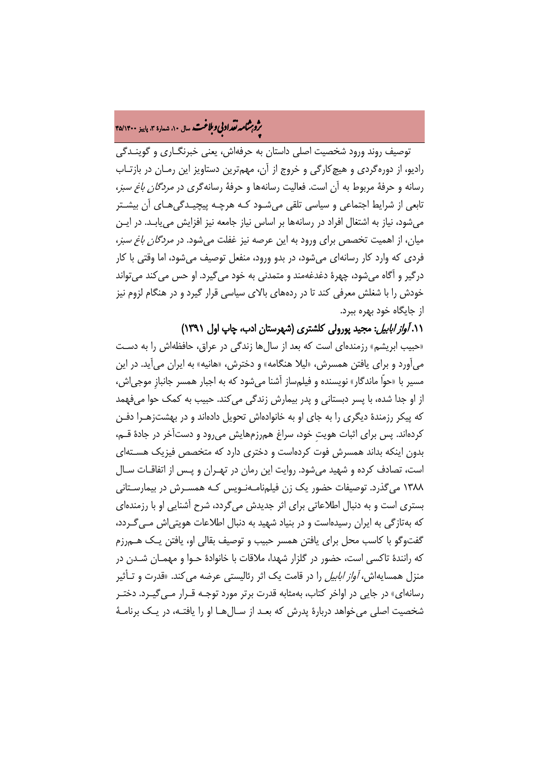# ه مشامه تقداد بی و ملاغت سال ۱۰، شهاره ۳، پاییز ۴۵/۱۴۰۰<br>په

توصیف روند ورود شخصیت اصلی داستان به حرفهاش، یعنی خبرنگـاری و گوینـدگی رادیو، از دورهگردی و هیچکارگی و خروج از آن، مهمترین دستاویز این رمـان در بازتـاب رسانه و حرفۀ مربوط به آن است. فعالیت رسانهها و حرفۀ رسانهگری در مردگان باغ سبز، تابعی از شرایط اجتماعی و سیاسی تلقی میشـود کـه هر چـه پیچیـدگی هـای آن بیشـتر میشود، نیاز به اشتغال افراد در رسانهها بر اساس نیاز جامعه نیز افزایش مییابـد. د ر ایـن میان، از اهمیت تخصص برای ورود به این عرصه نیز غفلت میشود. در مردگان باغ سبز، فردی که وارد کار رسانهای میشود، در بدو ورود، منفعل توصیف میشود، اما وقتی با کار درگیر و آگاه میشود، چهرۀ دغدغهمند و متمدنی به خود میگیرد. او حس میکند میتواند خودش را با شغلش معرفی کند تا در ردههای بالای سیاسی قرار گیرد و در هنگام لزوم نیز از جایگاه خود بهره ببرد.

۰۱*۱ آواز ابابیل*: مجید پورولی کلشتری (شهرستان ادب، چاپ اول ۱۳۹۱)

«حبیب ابریشم» رزمندهای است که بعد از سالها زندگی در عراق، حافظهاش را به دسـت میآورد و برای یافتن همسرش، «لیلا هنگامه» و دخترش، «هانیه» به ایران میآید. در این مسیر با «حوّا ماندگار» نویسنده و فیلمساز آشنا میشود که به اجبار همسر جانبازِ موجیاش، از او جدا شده، با پسر دبستانی و پدر بیمارش زندگی میکند. حبیب به کمک حوا میفهمد که پیکر رزمندۀ دیگری را به جای او به خانوادهاش تحویل دادهاند و در بهشتزهـرا دفـن کردهاند. پس برای اثبات هویتِ خود، سراغ همرزمهایش میرود و دستآخر در جادۀ قـم ، بدون اینکه بداند همسرش فوت کردهاست و دختری دارد که متخصص فیزیک هسـته ای است، تصادف کرده و شهید میشود. روایت این رمان در تهـر ان و پـس از اتفاقـات سـال 1388 میگذرد. توصیفات حضور یک زن فیلمنامـه نـویس کـه همسـرش در بیمارسـتانی بستری است و به دنبال اطلاعاتی برای اثر جدیدش میگردد، شرح آشنایی او با رزمندهای که بهتازگی به ایران رسیدهاست و در بنیاد شهید به دنبال اطلاعات هویتیاش مـی گـردد، گفتوگو با کاسب محل برای یافتن همسر حبیب و توصیف بقالی او، یافتن یـک هـم رزم که رانندۀ تاکسی است، حضور در گلزار شهدا، ملاقات با خانوادۀ حـوا و مهمـان شـدن در منزل همسایهاش، *آواز ابابیل* را در قامت یک اثر رئالیستی عرضه می کند. «قدرت و تـأثیر رسانهای» در جایی در اواخر کتاب، بهمثابه قدرت برتر مورد توجـه قـرار مـی گیـرد. دختـر شخصیت اصلی میخواهد دربارۀ پدرش که بعـد از سـال هـا او را یافتـه ، در یـک برنامـ ۀ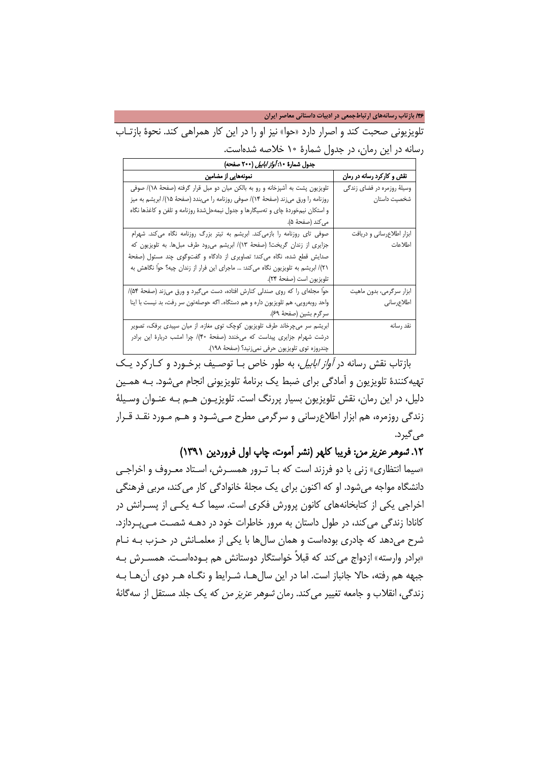/46 **بازتاب رسانههاي ارتباطجمعی در ادبیات داستانی معاصر ایران**

تلویزیونی صحبت کند و اصرار دارد «حوا» نیز او را در این کار همراهی کند. نحوۀ بازتـاب رسانه در این رمان، در جدول شمارۀ 10 خلاصه شدهاست.

| جدول شمارهٔ ۰: <i>آواز ابابیل</i> (۲۰۰ صفحه)                                       |                             |
|------------------------------------------------------------------------------------|-----------------------------|
| نمونههایی از مضامین                                                                | نقش و کارکرد رسانه در رمان  |
| تلویزیون پشت به آشپزخانه و رو به بالکن میان دو مبل قرار گرفته (صفحهٔ ۱۸)/ صوفی     | وسیلهٔ روزمره در فضای زندگی |
| روزنامه را ورق میزند (صفحهٔ ۱۴)/ صوفی روزنامه را میبندد (صفحهٔ ۱۵)/ ابریشم به میز  | شخصیت داستان                |
| و استکان نیمخوردهٔ چای و تهسیگارها و جدول نیمهحلشدهٔ روزنامه و تلفن و کاغذها نگاه  |                             |
| مى كند (صفحهٔ ۵).                                                                  |                             |
| صوفی تای روزنامه را بازمیکند. ابریشم به تیتر بزرگ روزنامه نگاه میکند. شهرام        | ابزار اطلاعرساني و دريافت   |
| جزایری از زندان گریخت! (صفحهٔ ۱۳)/ ابریشم میرود طرف مبلها. به تلویزیون که          | اطلاعات                     |
| صدایش قطع شده، نگاه میکند؛ تصاویری از دادگاه و گفتوگوی چند مسئول (صفحهٔ            |                             |
| ٢١)/ ابریشم به تلویزیون نگاه میکند: … ماجرای این فرار از زندان چیه؟ حوًّا نگاهش به |                             |
| تلويزيون است (صفحة ٢۴).                                                            |                             |
| حواً مجلهای را که روی صندلی کنارش افتاده، دست میگیرد و ورق میزند (صفحهٔ ۵۴)/       | ابزار سرگرمي، بدون ماهيت    |
| واحد روبهرویی، هم تلویزیون داره و هم دستگاه. اگه حوصلهتون سر رفت، بد نیست با اینا  | اطلاعرساني                  |
| سرگرم بشين (صفحهٔ ۶۹).                                                             |                             |
| ابریشم سر میچرخاند طرف تلویزیون کوچک توی مغازه. از میان سپیدی برفک، تصویر          | نقد رسانه                   |
| درشت شهرام جزایری پیداست که می خندد (صفحهٔ ۴۰)/ چرا امشب دربارهٔ این برادر         |                             |
| چندروزه توى تلويزيون حرفى نمىزنيد؟ (صفحة ١٩٨).                                     |                             |

بازتاب نقش رسانه در آواز ابابیل، به طور خاص بـا توصـیف برخـورد و کـارکرد یـک تهیهکنندۀ تلویزیون و آمادگی برای ضبط یک برنامۀ تلویزیونی انجام میشود. بـه همـ ین دلیل، در این رمان، نقش تلویزیون بسیار پررنگ است. تلویزیــون هــم بـه عنــوان وســیلۀ زندگی روزمره، هم ابزار اطلاعرسانی و سرگرمی مطرح مـ یشـود و هـم مـورد نقـد قـرار می گیرد.

.12 شوهر عزیز من: فریبا کلهر (نشر آموت، چاپ اول فروردین 1391)

«سیما انتظاری» زنی با دو فرزند است که بـا تـرور همسـرش، اسـ تاد معـروف و اخراجـی دانشگاه مواجه میشود. او که اکنون برای یک مجلۀ خانوادگی کار میکند، مربی فرهنگی اخراجی یکی از کتابخانههای کانون پرورش فکری است. سیما کـه یکـ ی از پسـرانش در کانادا زندگی میکند، در طول داستان به مرور خاطرات خود در دهـه شصـت مـی پـردازد . شرح میدهد که چادری بودهاست و همان سالها با یکی از معلمـانش در حـزب بـه نـام «برادر وارسته» ازدواج می کند که قبلاً خواستگار دوستانش هم بـودهاسـت. همسـرش بـه جبهه هم رفته، حالا جانباز است. اما در این سال هـا، شـرایط و نگـاه هـر دوی آن هـا بـه زندگی، انقلاب و جامعه تغییر میکند. رمان شوهر عزیز من که یک جلد مستقل از سهگانۀ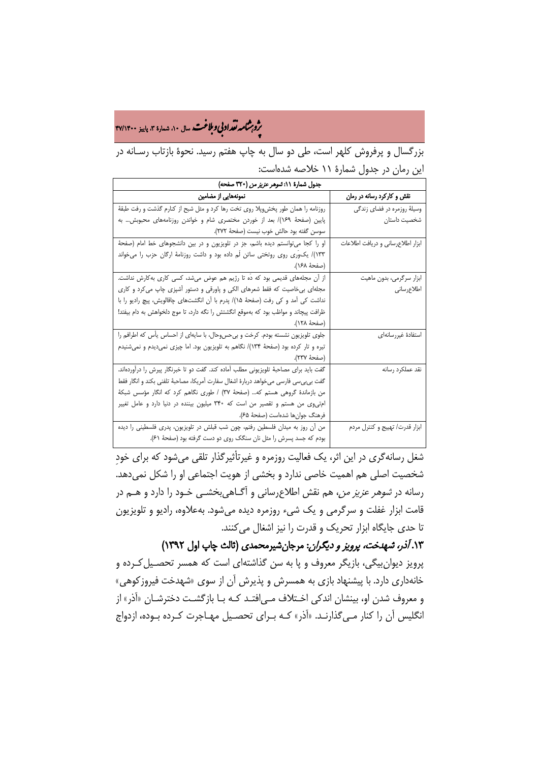# ه م**شامه تقداد بی و بلاغت** سال ۱۰، شماره ۳، پاییز ۴۷/۱۴۰۰<br>په

بزرگسال و پرفروش کلهر است، طی دو سال به چاپ هفتم رسید. نحوۀ بازتاب رسـانه در این رمان در جدول شمارۀ 11 خلاصه شدهاست:

| جدول شمارة ١١: تسوهر عزيز من (٣٢٠ صفحه)                                               |                                   |
|---------------------------------------------------------------------------------------|-----------------------------------|
| نمونههایی از مضامین                                                                   | نقش و کارکرد رسانه در رمان        |
| روزنامه را همان طور پخشوپلا روی تخت رها کرد و مثل شبح از کنارم گذشت و رفت طبقهٔ       | وسیلهٔ روزمره در فضای زندگی       |
| پایین (صفحهٔ ۱۶۹)/ بعد از خوردن مختصری شام و خواندن روزنامههای محبوبش به              | شخصيت داستان                      |
| سوسن گفته بود حالش خوب نيست (صفحهٔ ٢٧٢).                                              |                                   |
| او را كجا مى توانستم ديده باشم، جز در تلويزيون و در بين دانشجوهاى خط امام (صفحة       | ابزار اطلاعرساني و دريافت اطلاعات |
| ۱۳۳)/ یکوری روی روتختی ساتن لَم داده بود و داشت روزنامهٔ ارگان حزب را میخواند         |                                   |
| (صفحة ١۶٨).                                                                           |                                   |
| از آن مجلههای قدیمی بود که دَه تا رژیم هم عوض میشد، کسی کاری بهکارش نداشت.            | ابزار سرگرمی، بدون ماهیت          |
| مجلهای بی خاصیت که فقط شعرهای الکی و پاورقی و دستور آشپزی چاپ می کرد و کاری           | اطلاعرساني                        |
| نداشت کی آمد و کی رفت (صفحهٔ ۱۵)/ پدرم با آن انگشتهای چاقالویش، پیچ رادیو را با       |                                   |
| ظرافت پیچاند و مواظب بود که بهموقع انگشتش را نگه دارد، تا موج دلخواهش به دام بیفتد!   |                                   |
| (صفحة ١٢٨).                                                                           |                                   |
| جلوی تلویزیون نشسته بودم. کرخت و بیحسوحال، با سایهای از احساس یأس که اطرافم را        | استفادة غيررسانهاى                |
| تیره و تار کرده بود (صفحهٔ ۱۳۳۴)/ نگاهم به تلویزیون بود. اما چیزی نمیدیدم و نمیشنیدم  |                                   |
| (صفحة ٢٣٧).                                                                           |                                   |
| گفت باید برای مصاحبهٔ تلویزیونی مطلب آماده کند. گفت دو تا خبرنگار پیرش را درآوردهاند. | نقد عملكرد رسانه                  |
| گفت بی.بی.سی فارسی میخواهد دربارهٔ اشغال سفارت آمریکا، مصاحبهٔ تلفنی بکند و انگار فقط |                                   |
| من بازماندهٔ گروهی هستم که… (صفحهٔ ۳۷) / طوری نگاهم کرد که انگار مؤسس شبکهٔ           |                                   |
| امتی وی من هستم و تقصیر من است که ۳۴۰ میلیون بیننده در دنیا دارد و عامل تغییر         |                                   |
| فرهنگ جوان.ها شدهاست (صفحهٔ ۶۵).                                                      |                                   |
| من أن روز به ميدان فلسطين رفتم، چون شب قبلش در تلويزيون، پدرى فلسطيني را ديده         | ابزار قدرت/ تهييج و كنترل مردم    |
| بودم که جسد پسرش را مثل نان سنگک روی دو دست گرفته بود (صفحهٔ ۶۱).                     |                                   |

شغل رسانهگری در این اثر، یک فعالیت روزمره و غیرتأثیرگذار تلقی میشود که برای خودِ شخصیت اصلی هم اهمیت خاصی ندارد و بخشی از هویت اجتماعی او را شکل نمیدهد. رسانه در شوهر عزیز من، هم نقش اطلاعرسانی و آگـاهی بخشـی خـود را دارد و هـم در قامت ابزار غفلت و سرگرمی و یک شیء روزمره دیده میشود. بهعلاوه، رادیو و تلویزیون تا حدی جایگاه ابزار تحریک و قدرت را نیز اشغال میکنند.

.13 آذر، شهدخت، پرویز و دیگران: مرجانشیرمحمدی (ثالث چاپ اول 1392) پرویز دیوانبیگی، بازیگر معروف و پا به سن گذاشتهای است که همسر تحصـیل کـرده و خانهداری دارد. با پیشنهاد بازی به همسرش و پذیرش آن از سوی «شهدخت فیروزکوهی» و معروف شدن او، بینشان اندکی اخـتلاف مـی|فتـد کـه بـا بازگشـت دخترشـان «آذر» از انگلیس آن را کنار مـ یگذارنـد . «آذر» کـه بـرای تحصـیل مهـاجرت کـرده بـوده، ازدواج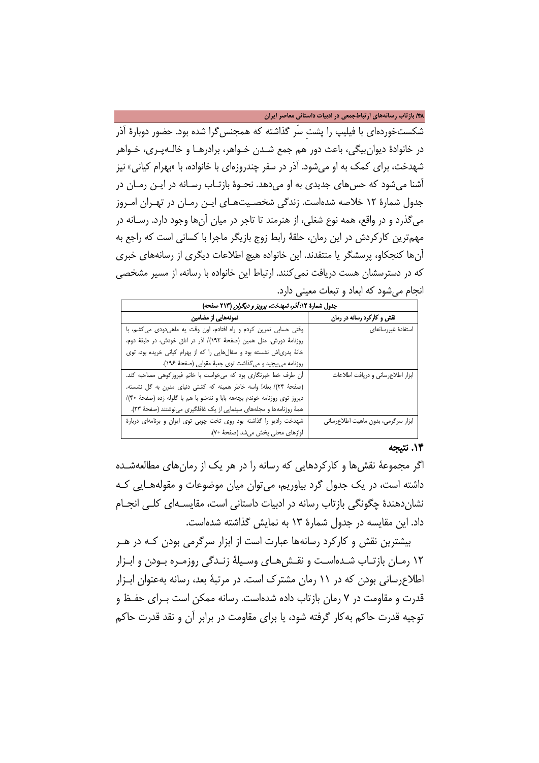/48 **بازتاب رسانههاي ارتباطجمعی در ادبیات داستانی معاصر ایران**

شکستخوردهای با فیلیپ را پشتِ سَر گذاشته که همجنسگرا شده بود. حضور دوبارۀ آذر در خانوادۀ دیوانبیگی، باعث دور هم جمع شـدن خـواهر ، برادرهـا و خالـه پـری، خـواهر شهدخت، برای کمک به او میشود. آذر در سفر چندروزهای با خانواده، با «بهرام کیانی» نیز آشنا می شود که حس های جدیدی به او می دهد. نحـوهٔ بازتـاب رسـانه در ایـن رمـان در جدول شمارۀ 12 خلاصه شدهاست. زندگی شخصـیت هـای ایـن رمـان در تهـران امـروز میگذرد و در واقع، همه نوع شغلی، از هنرمند تا تاجر در میان آنها وجود دارد. رسـانه در مهمترین کارکردش در این رمان، حلقۀ رابط زوج بازیگر ماجرا با کسانی است که راجع به آنها کنجکاو، پرسشگر یا منتقدند. این خانواده هیچ اطلاعات دیگری از رسانههای خبری که در دسترسشان هست دریافت نمیکنند. ارتباط این خانواده با رسانه، از مسیر مشخصی انجام میشود که ابعاد و تبعات معینی دارد.

| جدول شمارهٔ ۱۲: <i>آذر، شهدخت، پرویز و دیگران</i> (۲۱۳ صفحه)              |                                     |
|---------------------------------------------------------------------------|-------------------------------------|
| نمونههایی از مضامین                                                       | نقش و کارکرد رسانه در رمان          |
| وقتی حسابی تمرین کردم و راه افتادم، اون وقت یه ماهیدودی میکشم، با         | استفادة غيررسانهاى                  |
| روزنامة دورش. مثل همين (صفحة ١٩٢)/ آذر در اتاق خودش، در طبقة دوم،         |                                     |
| خانهٔ پدری اش نشسته بود و سفالهایی را که از بهرام کیانی خریده بود، توی    |                                     |
| روزنامه مى پيچيد و مىگذاشت توى جعبهٔ مقوايى (صفحهٔ ۱۹۶).                  |                                     |
| أن طرف خط خبرنگاری بود که میخواست با خانم فیروزکوهی مصاحبه کند.           | ابزار اطلاعرسانى ودريافت اطلاعات    |
| (صفحة ٢۴)/ بعله! واسه خاطر همينه كه كشتى دنياى مدرن به گل نشسته.          |                                     |
| دیروز توی روزنامه خوندم بچههه بابا و ننهشو با هم با گلوله زده (صفحهٔ ۴۰)/ |                                     |
| همهٔ روزنامهها و مجلههای سینمایی از یک غافلگیری مینوشتند (صفحهٔ ۲۳).      |                                     |
| شهدخت راديو را گذاشته بود روى تخت چوبى توى ايوان و برنامهاى دربارة        | ابزار سرگرمی، بدون ماهیت اطلاعرسانی |
| أوازهاى محلى پخش مى شد (صفحة ٧٠).                                         |                                     |

### .14 نتیجه

اگر مجموعۀ نقشها و کارکردهایی که رسانه را در هر یک از رمانهای مطالعهشـده داشته است، در یک جدول گرد بیاوریم، میتوان میان موضوعات و مقولههـا یی کـ ه نشاندهندۀ چگونگی بازتاب رسانه در ادبیات داستانی است، مقایسـهای کلـی انجـام داد. این مقایسه در جدول شمارۀ 13 به نمایش گذاشته شدهاست.

بیشترین نقش و کارکرد رسانهها عبارت است از ابزار سرگرمی بودن کـه در هـر 12 رمـان بازتـاب شـده اسـت و نقـشهـا ی وسـیلۀ زنـدگی روزمـره بـودن و ابـزار اطلاعرسانی بودن که در 11 رمان مشترک است. در مرتبۀ بعد، رسانه بهعنوان ابـزار قدرت و مقاومت در 7 رمان بازتاب داده شدهاست. رسانه ممکن است بـرای حفـظ و توجیه قدرت حاکم بهکار گرفته شود، یا برای مقاومت در برابر آن و نقد قدرت حاکم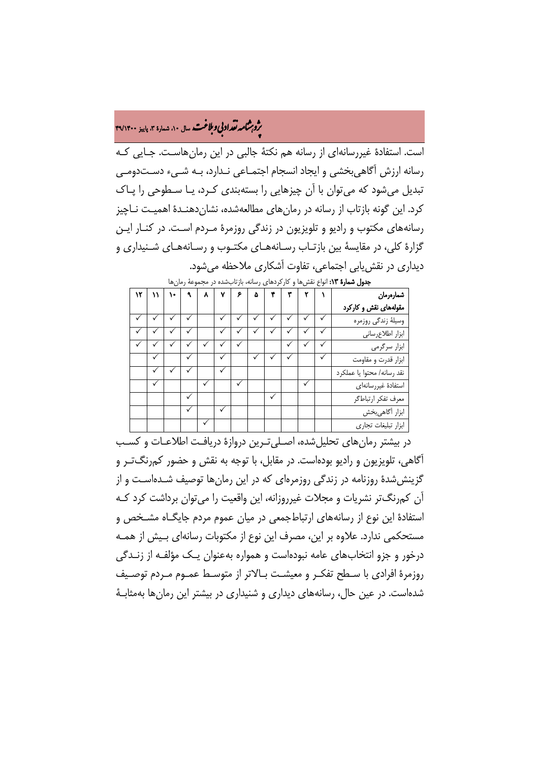# ه م**شامه تقداد بی و بلاغت** سال ۱۰، شماره ۳، پاییز ۴۹/۱۴۰۰<br>په

است. استفادۀ غیررسانهای از رسانه هم نکتۀ جالبی در این رمانهاسـت. جـا یی کـ ه رسانه ارزش آگاهی بخشی و ایجاد انسجام اجتمـاعی نـدارد، بـه شـیء دسـتدومـی تبدیل می شود که می توان با آن چیزهایی را بستهبندی کـرد، یـا سـطوحی را پـاک کرد. این گونه بازتاب از رسانه در رمان های مطالعهشده، نشان دهنـدهٔ اهمیـت نـاچیز رسانههای مکتوب و رادیو و تلویزیون در زندگی روزمرۀ مـردم اسـت. در کنـار ایـن گزارۀ کلی، در مقایسۀ بین بازتـاب رسـانه هـای مکتـوب و رسـانه هـای شـنیداری و دیداری در نقشیابی اجتماعی، تفاوت آشکاری ملاحظه میشود.

| ۱۲ | ١١ | ١. | ٩ | $\lambda$    | ٧ | ۶ | ۵ |  |   | شمارەرمان                  |
|----|----|----|---|--------------|---|---|---|--|---|----------------------------|
|    |    |    |   |              |   |   |   |  |   | مقولههای نقش و کارکرد      |
|    |    |    |   |              |   |   |   |  |   | وسيلهٔ زندگي روزمره        |
|    |    |    |   |              |   | ✓ |   |  |   | ابزار اطلاع رسانى          |
|    |    |    |   |              |   |   |   |  | ✓ | ابزار سرگرمی               |
|    |    |    | ✓ |              |   |   |   |  | ✓ | ابزار قدرت و مقاومت        |
|    |    |    |   |              |   |   |   |  |   | نقد رسانه/ محتوا يا عملكرد |
|    | ✓  |    |   | $\checkmark$ |   |   |   |  |   | استفادة غيررسانهاى         |
|    |    |    |   |              |   |   |   |  |   | معرف تفكر ارتباطكر         |
|    |    |    |   |              |   |   |   |  |   | ابزار أگاهىبخش             |
|    |    |    |   | $\checkmark$ |   |   |   |  |   | ابزار تبليغات تجارى        |

ج**دول شمارۀ ١٣:** انواع نقشها و کارکردهای رسانه، بازتابشده در مجموعۀ رمانها

در بیشتر رمانهای تحلیلشده، اصـلی تـرین دروازۀ دریافـت اطلاعـات و کسـب آگاهی، تلویزیون و رادیو بودهاست. در مقابل، با توجه به نقش و حضور کمرنگتـر و گزینششدۀ روزنامه در زندگی روزمرهای که در این رمانها توصیف شـدهاسـت و از آن کمرنگتر نشریات و مجلات غیرروزانه، این واقعیت را میتوان برداشت کرد کـه استفادۀ این نوع از رسانههای ارتباطجمعی در میان عموم مردم جایگـاه مشـخص و مستحکمی ندارد. علاوه بر این، مصرف این نوع از مکتوبات رسانهای بـیش از همـه درخور و جزو انتخابهای عامه نبودهاست و همواره بهعنوان یـک مؤلفـه از زنـدگی روزمرۀ افرادی با سـطح تفکـر و معیشـت بـالاتر از متوسـط عمـوم مـردم توصـیف شدهاست. در عین حال، رسانههای دیداری و شنیداری در بیشتر این رمانها بهمثابـ ۀ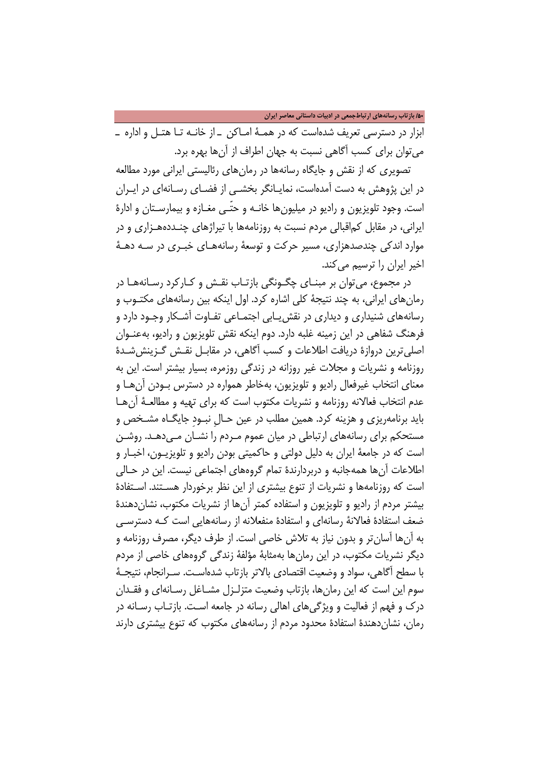/50 **بازتاب رسانههاي ارتباطجمعی در ادبیات داستانی معاصر ایران**

ابزار در دسترسی تعریف شدهاست که در همـ ۀ امـاکن ـ از خانـه تـا هتـل و اداره ـ میتوان برای کسب آگاهی نسبت به جهان اطراف از آنها بهره برد.

تصویری که از نقش و جایگاه رسانهها در رمانهای رئالیستی ایرانی مورد مطالعه در این پژوهش به دست آمدهاست، نمایـانگر بخشـی از فضـای رسـانه ای در ایـ ران است. وجود تلویزیون و رادیو در میلیونها خانـه و حتّـ ی مغـازه و بیمارسـتان و ادارۀ ایرانی، در مقابل کماقبالی مردم نسبت به روزنامهها با تیراژهای چنـدده هـزار ی و در موارد اندکی چندصدهزاری، مسیر حرکت و توسعۀ رسانههـای خبـری در سـه دهـۀ اخیر ایران را ترسیم میکند.

در مجموع، می توان بر مبنـای چگـونگی بازتـاب نقـش و کـارکرد رسـانههـا در رمانهای ایرانی، به چند نتیجۀ کلی اشاره کرد. اول اینکه بین رسانههای مکتـوب و رسانههای شنیداری و دیداری در نقشیـابی اجتمـاعی تفـاوت آشـ کار وجـود دارد و فرهنگ شفاهی در این زمینه غلبه دارد. دوم اینکه نقش تلویزیون و رادیو، بهعنـوان اصلیترین دروازۀ دریافت اطلاعات و کسب آگاهی، در مقابـل نقـش گـز ینششـد ۀ روزنامه و نشریات و مجلات غیر روزانه در زندگی روزمره، بسیار بیشتر است. این به معنای انتخاب غیرفعال رادیو و تلویزیون، بهخاطر همواره در دسترس بـودن آنهـا و عدم انتخاب فعالانه روزنامه و نشریات مکتوب است که برای تهیه و مطالعـهٔ آن هـا باید برنامهریزی و هزینه کرد. همین مطلب در عین حـالِ نبـودِ جایگـاه مشـخص و مستحکم برای رسانههای ارتباطی در میان عموم مـردم را نشـان مـ یدهـد. روشـن است که در جامعۀ ایران به دلیل دولتی و حاکمیتی بودن رادیو و تلویزیـ ون، اخبـار و اطلاعات آنها همهجانبه و دربردارندۀ تمام گروههای اجتماعی نیست. این در حـا لی است که روزنامهها و نشریات از تنوع بیشتری از این نظر برخوردار هسـتند. اسـتفاد ۀ بیشتر مردم از رادیو و تلویزیون و استفاده کمتر آنها از نشریات مکتوب، نشاندهندۀ ضعف استفادۀ فعالانۀ رسانهای و استفادۀ منفعلانه از رسانههایی است کـ ه دسترسـ ی به آنها آسانتر و بدون نیاز به تلاش خاصی است. از طرف دیگر، مصرف روزنامه و دیگر نشریات مکتوب، در این رمانها بهمثابۀ مؤلفۀ زندگی گروههای خاصی از مردم با سطح آگاهی، سواد و وضعیت اقتصادی بالاتر بازتاب شدهاسـت . سـرانجام ، نتیجـ ۀ سوم این است که این رمانها، بازتاب وضعیت متزلـزل مشـاغل رسـانهای و فقــدان درک و فهم از فعالیت و ویژگیهای اهالی رسانه در جامعه اسـت. بازتـاب رسـانه در رمان، نشاندهندۀ استفادۀ محدود مردم از رسانههای مکتوب که تنوع بیشتری دارند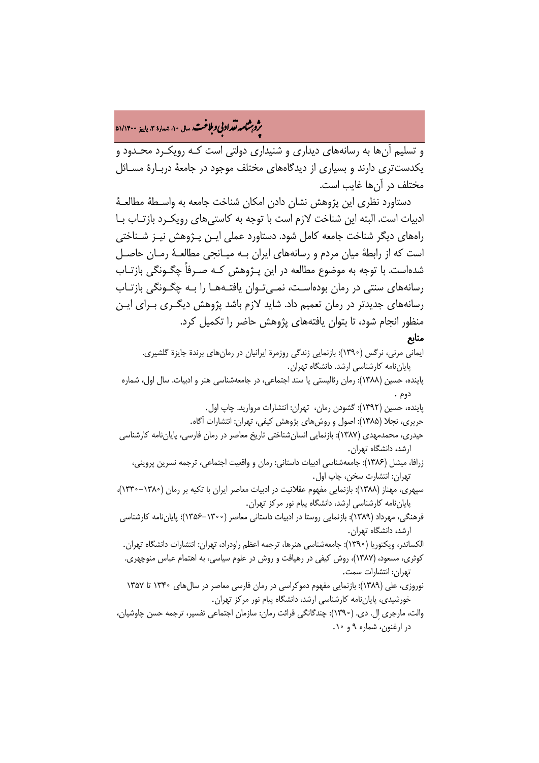# ه م**شامه تقداد بی و بلاغت** سال ۱۰، شمارهٔ ۳، پاییز ۵۱/۱۴۰**۰**<br>پو

و تسلیم آنها به رسانههای دیداری و شنیداری دولتی است کـ ه رویکـ رد محـدود و یکدستتری دارند و بسیاری از دیدگاههای مختلف موجود در جامعۀ دربـار ۀ مسـائل مختلف در آنها غایب است.

دستاورد نظری این پژوهش نشان دادن امکان شناخت جامعه به واسـطۀ مطالعـۀ ادبیات است. البته این شناخت لازم است با توجه به کاستیهای رویکـ رد بازتـاب بـا راههای دیگر شناخت جامعه کامل شود. دستاورد عملی ایـن پـژوهش نیـز شـناختی است که از رابطۀ میان مردم و رسانههای ایران بـه میـانجی مطالعـۀ رمـان حاصـل شدهاست. با توجه به موضوع مطالعه در این پـژوهش کـه صـرفاً چگـونگی بازتـاب رسانههای سنتی در رمان بودهاست، نمـیتـوان یافتـههـا را بـه چگـونگی بازتـاب رسانههای جدیدتر در رمان تعمیم داد. شاید لازم باشد پژوهش دیگـری بـرای ایـن منظور انجام شود، تا بتوان یافتههای پژوهش حاضر را تکمیل کرد.

### منابع

- ایمانی مرنی، نرگس (1390): بازنمایي زندگي روزمرة ایرانیان در رمانهاي برندة جایزة گلشیري. پایاننامه کارشناسی ارشد. دانشگاه تهران.
- پاینده، حسین (1388): رمان رئالیستی یا سند اجتماعی، در جامعهشناسی هنر و ادبیات. سال اول، شماره دوم .
	- پاینده، حسین (1392): گشودن رمان، تهران: انتشارات مروارید. چاپ اول.
	- حریری، نجلا (1385): اصول و روشهای پژوهش کیفي، تهران: انتشارات آگاه.
- حیدری، محمدمهدی (1387): بازنمایي انسانشناختي تاریخ معاصر در رمان فارسي، پایاننامه کارشناسی ارشد، دانشگاه تهران.
	- زرافا، میشل (1386): جامعهشناسی ادبیات داستانی: رمان و واقعیت اجتماعی، ترجمه نسرین پروینی، تهران: انتشارت سخن، چاپ اول.
- سپهری، مهناز (1388): بازنمایی مفهوم عقلانیت در ادبیات معاصر ایران با تکیه بر رمان (1330-1380)، پایاننامه کارشناسی ارشد، دانشگاه پیام نور مرکز تهران.
- فرهنگی، مهرداد (1389): بازنمایي روستا در ادبیات داستاني معاصر (1356-1300)؛ پایاننامه کارشناسی ارشد، دانشگاه تهران.
- الکساندر، ویکتوریا (1390): جامعهشناسی هنرها، ترجمه اعظم راودراد، تهران: انتشارات دانشگاه تهران. کوثری، مسعود، (1387)، روش کیفی در رهیافت و روش در علوم سیاسی، به اهتمام عباس منوچهری. تهران: انتشارات سمت.
- نوروزی، علی (1389): بازنمایی مفهوم دموکراسی در رمان فارسی معاصر در سالهای 1340 تا 1357 خورشیدی، پایاننامه کارشناسی ارشد، دانشگاه پیام نور مرکز تهران.
- والت، مارجری اِل. دی. (1390): چندگانگی قرائت رمان: سازمان اجتماعی تفسیر، ترجمه حسن چاوشیان، در ارغنون، شماره 9 و .10